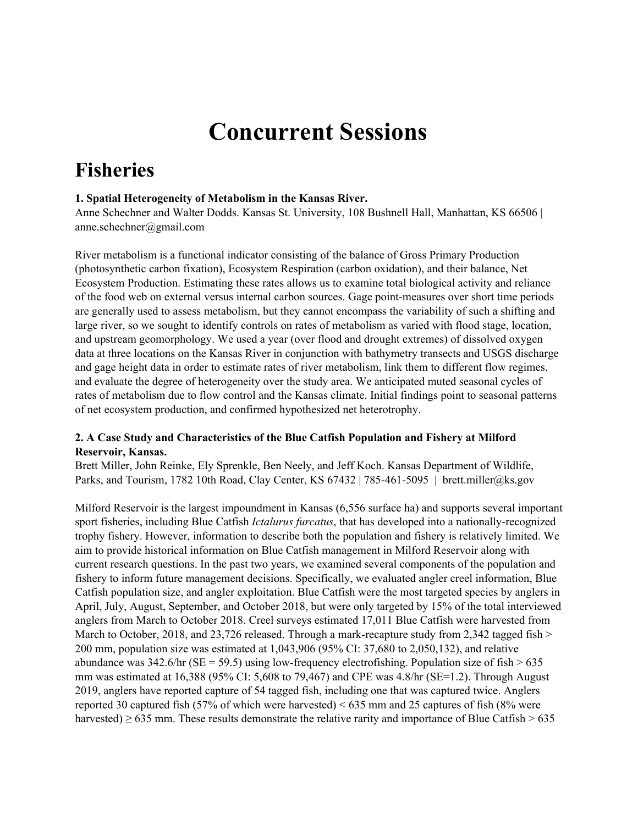# **Concurrent Sessions**

## **Fisheries**

## **1. Spatial Heterogeneity of Metabolism in the Kansas River.**

Anne Schechner and Walter Dodds. Kansas St. University, 108 Bushnell Hall, Manhattan, KS 66506 | anne.schechner@gmail.com

River metabolism is a functional indicator consisting of the balance of Gross Primary Production (photosynthetic carbon fixation), Ecosystem Respiration (carbon oxidation), and their balance, Net Ecosystem Production. Estimating these rates allows us to examine total biological activity and reliance of the food web on external versus internal carbon sources. Gage point-measures over short time periods are generally used to assess metabolism, but they cannot encompass the variability of such a shifting and large river, so we sought to identify controls on rates of metabolism as varied with flood stage, location, and upstream geomorphology. We used a year (over flood and drought extremes) of dissolved oxygen data at three locations on the Kansas River in conjunction with bathymetry transects and USGS discharge and gage height data in order to estimate rates of river metabolism, link them to different flow regimes, and evaluate the degree of heterogeneity over the study area. We anticipated muted seasonal cycles of rates of metabolism due to flow control and the Kansas climate. Initial findings point to seasonal patterns of net ecosystem production, and confirmed hypothesized net heterotrophy.

## **2. A Case Study and Characteristics of the Blue Catfish Population and Fishery at Milford Reservoir, Kansas.**

Brett Miller, John Reinke, Ely Sprenkle, Ben Neely, and Jeff Koch. Kansas Department of Wildlife, Parks, and Tourism, 1782 10th Road, Clay Center, KS 67432 | 785-461-5095 | brett.miller@ks.gov

Milford Reservoir is the largest impoundment in Kansas (6,556 surface ha) and supports several important sport fisheries, including Blue Catfish *Ictalurus furcatus*, that has developed into a nationally-recognized trophy fishery. However, information to describe both the population and fishery is relatively limited. We aim to provide historical information on Blue Catfish management in Milford Reservoir along with current research questions. In the past two years, we examined several components of the population and fishery to inform future management decisions. Specifically, we evaluated angler creel information, Blue Catfish population size, and angler exploitation. Blue Catfish were the most targeted species by anglers in April, July, August, September, and October 2018, but were only targeted by 15% of the total interviewed anglers from March to October 2018. Creel surveys estimated 17,011 Blue Catfish were harvested from March to October, 2018, and 23,726 released. Through a mark-recapture study from 2,342 tagged fish > 200 mm, population size was estimated at 1,043,906 (95% CI: 37,680 to 2,050,132), and relative abundance was  $342.6$ /hr (SE = 59.5) using low-frequency electrofishing. Population size of fish > 635 mm was estimated at 16,388 (95% CI: 5,608 to 79,467) and CPE was 4.8/hr (SE=1.2). Through August 2019, anglers have reported capture of 54 tagged fish, including one that was captured twice. Anglers reported 30 captured fish (57% of which were harvested) < 635 mm and 25 captures of fish (8% were harvested)  $\geq$  635 mm. These results demonstrate the relative rarity and importance of Blue Catfish  $>$  635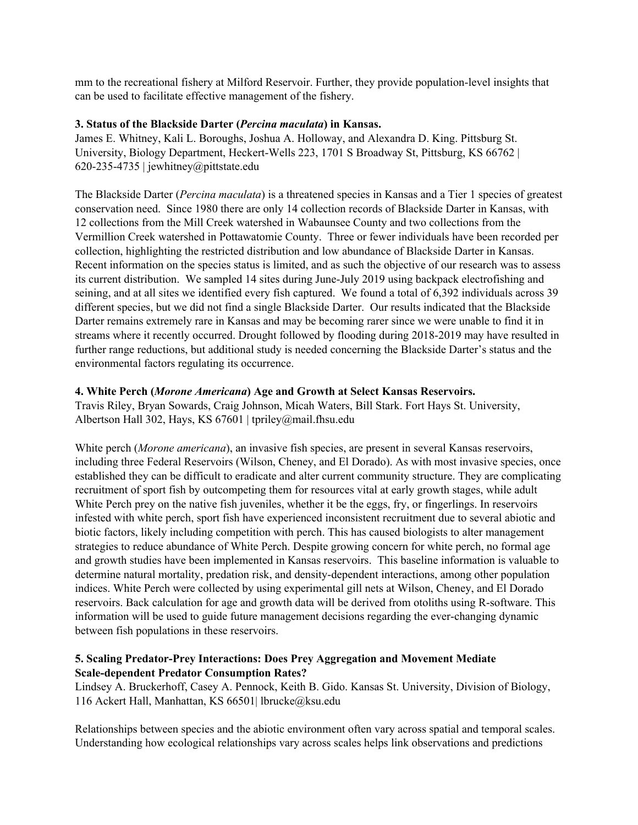mm to the recreational fishery at Milford Reservoir. Further, they provide population-level insights that can be used to facilitate effective management of the fishery.

#### **3. Status of the Blackside Darter (***Percina maculata***) in Kansas.**

James E. Whitney, Kali L. Boroughs, Joshua A. Holloway, and Alexandra D. King. Pittsburg St. University, Biology Department, Heckert-Wells 223, 1701 S Broadway St, Pittsburg, KS 66762 | 620-235-4735 | jewhitney@pittstate.edu

The Blackside Darter (*Percina maculata*) is a threatened species in Kansas and a Tier 1 species of greatest conservation need. Since 1980 there are only 14 collection records of Blackside Darter in Kansas, with 12 collections from the Mill Creek watershed in Wabaunsee County and two collections from the Vermillion Creek watershed in Pottawatomie County. Three or fewer individuals have been recorded per collection, highlighting the restricted distribution and low abundance of Blackside Darter in Kansas. Recent information on the species status is limited, and as such the objective of our research was to assess its current distribution. We sampled 14 sites during June-July 2019 using backpack electrofishing and seining, and at all sites we identified every fish captured. We found a total of 6,392 individuals across 39 different species, but we did not find a single Blackside Darter. Our results indicated that the Blackside Darter remains extremely rare in Kansas and may be becoming rarer since we were unable to find it in streams where it recently occurred. Drought followed by flooding during 2018-2019 may have resulted in further range reductions, but additional study is needed concerning the Blackside Darter's status and the environmental factors regulating its occurrence.

## **4. White Perch (***Morone Americana***) Age and Growth at Select Kansas Reservoirs.**

Travis Riley, Bryan Sowards, Craig Johnson, Micah Waters, Bill Stark. Fort Hays St. University, Albertson Hall 302, Hays, KS 67601 | tpriley@mail.fhsu.edu

White perch (*Morone americana*), an invasive fish species, are present in several Kansas reservoirs, including three Federal Reservoirs (Wilson, Cheney, and El Dorado). As with most invasive species, once established they can be difficult to eradicate and alter current community structure. They are complicating recruitment of sport fish by outcompeting them for resources vital at early growth stages, while adult White Perch prey on the native fish juveniles, whether it be the eggs, fry, or fingerlings. In reservoirs infested with white perch, sport fish have experienced inconsistent recruitment due to several abiotic and biotic factors, likely including competition with perch. This has caused biologists to alter management strategies to reduce abundance of White Perch. Despite growing concern for white perch, no formal age and growth studies have been implemented in Kansas reservoirs. This baseline information is valuable to determine natural mortality, predation risk, and density-dependent interactions, among other population indices. White Perch were collected by using experimental gill nets at Wilson, Cheney, and El Dorado reservoirs. Back calculation for age and growth data will be derived from otoliths using R-software. This information will be used to guide future management decisions regarding the ever-changing dynamic between fish populations in these reservoirs.

## **5. Scaling Predator-Prey Interactions: Does Prey Aggregation and Movement Mediate Scale-dependent Predator Consumption Rates?**

Lindsey A. Bruckerhoff, Casey A. Pennock, Keith B. Gido. Kansas St. University, Division of Biology, 116 Ackert Hall, Manhattan, KS 66501| lbrucke@ksu.edu

Relationships between species and the abiotic environment often vary across spatial and temporal scales. Understanding how ecological relationships vary across scales helps link observations and predictions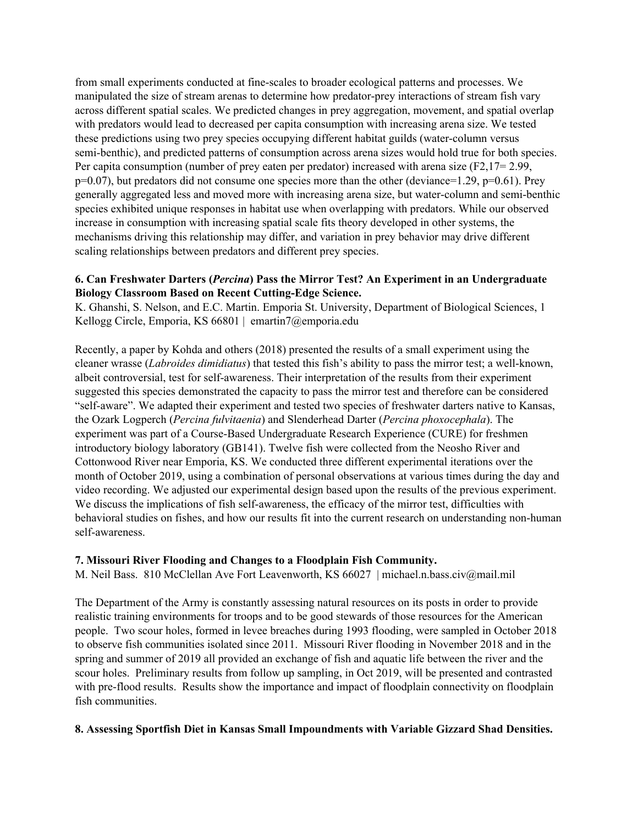from small experiments conducted at fine-scales to broader ecological patterns and processes. We manipulated the size of stream arenas to determine how predator-prey interactions of stream fish vary across different spatial scales. We predicted changes in prey aggregation, movement, and spatial overlap with predators would lead to decreased per capita consumption with increasing arena size. We tested these predictions using two prey species occupying different habitat guilds (water-column versus semi-benthic), and predicted patterns of consumption across arena sizes would hold true for both species. Per capita consumption (number of prey eaten per predator) increased with arena size (F2,17= 2.99, p=0.07), but predators did not consume one species more than the other (deviance=1.29, p=0.61). Prey generally aggregated less and moved more with increasing arena size, but water-column and semi-benthic species exhibited unique responses in habitat use when overlapping with predators. While our observed increase in consumption with increasing spatial scale fits theory developed in other systems, the mechanisms driving this relationship may differ, and variation in prey behavior may drive different scaling relationships between predators and different prey species.

## **6. Can Freshwater Darters (***Percina***) Pass the Mirror Test? An Experiment in an Undergraduate Biology Classroom Based on Recent Cutting-Edge Science.**

K. Ghanshi, S. Nelson, and E.C. Martin. Emporia St. University, Department of Biological Sciences, 1 Kellogg Circle, Emporia, KS 66801 | emartin7@emporia.edu

Recently, a paper by Kohda and others (2018) presented the results of a small experiment using the cleaner wrasse (*Labroides dimidiatus*) that tested this fish's ability to pass the mirror test; a well-known, albeit controversial, test for self-awareness. Their interpretation of the results from their experiment suggested this species demonstrated the capacity to pass the mirror test and therefore can be considered "self-aware". We adapted their experiment and tested two species of freshwater darters native to Kansas, the Ozark Logperch (*Percina fulvitaenia*) and Slenderhead Darter (*Percina phoxocephala*). The experiment was part of a Course-Based Undergraduate Research Experience (CURE) for freshmen introductory biology laboratory (GB141). Twelve fish were collected from the Neosho River and Cottonwood River near Emporia, KS. We conducted three different experimental iterations over the month of October 2019, using a combination of personal observations at various times during the day and video recording. We adjusted our experimental design based upon the results of the previous experiment. We discuss the implications of fish self-awareness, the efficacy of the mirror test, difficulties with behavioral studies on fishes, and how our results fit into the current research on understanding non-human self-awareness.

#### **7. Missouri River Flooding and Changes to a Floodplain Fish Community.**

M. Neil Bass. 810 McClellan Ave Fort Leavenworth, KS 66027 | michael.n.bass.civ@mail.mil

The Department of the Army is constantly assessing natural resources on its posts in order to provide realistic training environments for troops and to be good stewards of those resources for the American people. Two scour holes, formed in levee breaches during 1993 flooding, were sampled in October 2018 to observe fish communities isolated since 2011. Missouri River flooding in November 2018 and in the spring and summer of 2019 all provided an exchange of fish and aquatic life between the river and the scour holes. Preliminary results from follow up sampling, in Oct 2019, will be presented and contrasted with pre-flood results. Results show the importance and impact of floodplain connectivity on floodplain fish communities.

#### **8. Assessing Sportfish Diet in Kansas Small Impoundments with Variable Gizzard Shad Densities.**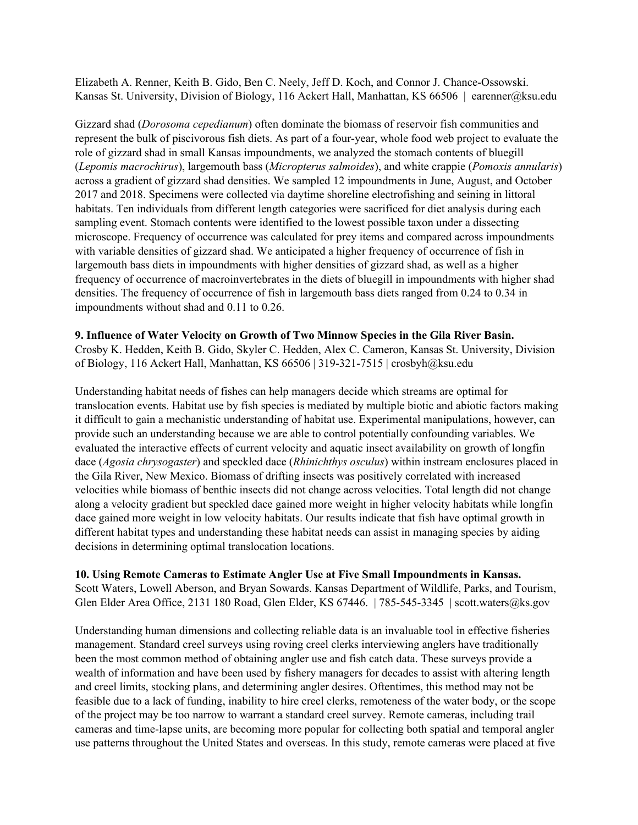Elizabeth A. Renner, Keith B. Gido, Ben C. Neely, Jeff D. Koch, and Connor J. Chance-Ossowski. Kansas St. University, Division of Biology, 116 Ackert Hall, Manhattan, KS 66506 | earenner@ksu.edu

Gizzard shad (*Dorosoma cepedianum*) often dominate the biomass of reservoir fish communities and represent the bulk of piscivorous fish diets. As part of a four-year, whole food web project to evaluate the role of gizzard shad in small Kansas impoundments, we analyzed the stomach contents of bluegill (*Lepomis macrochirus*), largemouth bass (*Micropterus salmoides*), and white crappie (*Pomoxis annularis*) across a gradient of gizzard shad densities. We sampled 12 impoundments in June, August, and October 2017 and 2018. Specimens were collected via daytime shoreline electrofishing and seining in littoral habitats. Ten individuals from different length categories were sacrificed for diet analysis during each sampling event. Stomach contents were identified to the lowest possible taxon under a dissecting microscope. Frequency of occurrence was calculated for prey items and compared across impoundments with variable densities of gizzard shad. We anticipated a higher frequency of occurrence of fish in largemouth bass diets in impoundments with higher densities of gizzard shad, as well as a higher frequency of occurrence of macroinvertebrates in the diets of bluegill in impoundments with higher shad densities. The frequency of occurrence of fish in largemouth bass diets ranged from 0.24 to 0.34 in impoundments without shad and 0.11 to 0.26.

#### **9. Influence of Water Velocity on Growth of Two Minnow Species in the Gila River Basin.**

Crosby K. Hedden, Keith B. Gido, Skyler C. Hedden, Alex C. Cameron, Kansas St. University, Division of Biology, 116 Ackert Hall, Manhattan, KS 66506 | 319-321-7515 | crosbyh@ksu.edu

Understanding habitat needs of fishes can help managers decide which streams are optimal for translocation events. Habitat use by fish species is mediated by multiple biotic and abiotic factors making it difficult to gain a mechanistic understanding of habitat use. Experimental manipulations, however, can provide such an understanding because we are able to control potentially confounding variables. We evaluated the interactive effects of current velocity and aquatic insect availability on growth of longfin dace (*Agosia chrysogaster*) and speckled dace (*Rhinichthys osculus*) within instream enclosures placed in the Gila River, New Mexico. Biomass of drifting insects was positively correlated with increased velocities while biomass of benthic insects did not change across velocities. Total length did not change along a velocity gradient but speckled dace gained more weight in higher velocity habitats while longfin dace gained more weight in low velocity habitats. Our results indicate that fish have optimal growth in different habitat types and understanding these habitat needs can assist in managing species by aiding decisions in determining optimal translocation locations.

#### **10. Using Remote Cameras to Estimate Angler Use at Five Small Impoundments in Kansas.**

Scott Waters, Lowell Aberson, and Bryan Sowards. Kansas Department of Wildlife, Parks, and Tourism, Glen Elder Area Office, 2131 180 Road, Glen Elder, KS 67446. | 785-545-3345 | scott.waters@ks.gov

Understanding human dimensions and collecting reliable data is an invaluable tool in effective fisheries management. Standard creel surveys using roving creel clerks interviewing anglers have traditionally been the most common method of obtaining angler use and fish catch data. These surveys provide a wealth of information and have been used by fishery managers for decades to assist with altering length and creel limits, stocking plans, and determining angler desires. Oftentimes, this method may not be feasible due to a lack of funding, inability to hire creel clerks, remoteness of the water body, or the scope of the project may be too narrow to warrant a standard creel survey. Remote cameras, including trail cameras and time-lapse units, are becoming more popular for collecting both spatial and temporal angler use patterns throughout the United States and overseas. In this study, remote cameras were placed at five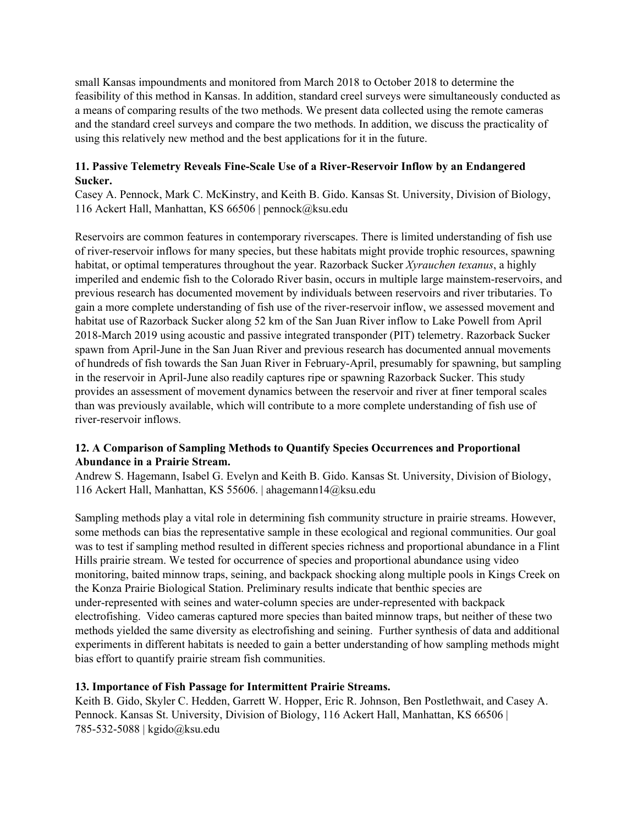small Kansas impoundments and monitored from March 2018 to October 2018 to determine the feasibility of this method in Kansas. In addition, standard creel surveys were simultaneously conducted as a means of comparing results of the two methods. We present data collected using the remote cameras and the standard creel surveys and compare the two methods. In addition, we discuss the practicality of using this relatively new method and the best applications for it in the future.

## **11. Passive Telemetry Reveals Fine-Scale Use of a River-Reservoir Inflow by an Endangered Sucker.**

Casey A. Pennock, Mark C. McKinstry, and Keith B. Gido. Kansas St. University, Division of Biology, 116 Ackert Hall, Manhattan, KS 66506 | pennock@ksu.edu

Reservoirs are common features in contemporary riverscapes. There is limited understanding of fish use of river-reservoir inflows for many species, but these habitats might provide trophic resources, spawning habitat, or optimal temperatures throughout the year. Razorback Sucker *Xyrauchen texanus*, a highly imperiled and endemic fish to the Colorado River basin, occurs in multiple large mainstem-reservoirs, and previous research has documented movement by individuals between reservoirs and river tributaries. To gain a more complete understanding of fish use of the river-reservoir inflow, we assessed movement and habitat use of Razorback Sucker along 52 km of the San Juan River inflow to Lake Powell from April 2018-March 2019 using acoustic and passive integrated transponder (PIT) telemetry. Razorback Sucker spawn from April-June in the San Juan River and previous research has documented annual movements of hundreds of fish towards the San Juan River in February-April, presumably for spawning, but sampling in the reservoir in April-June also readily captures ripe or spawning Razorback Sucker. This study provides an assessment of movement dynamics between the reservoir and river at finer temporal scales than was previously available, which will contribute to a more complete understanding of fish use of river-reservoir inflows.

## **12. A Comparison of Sampling Methods to Quantify Species Occurrences and Proportional Abundance in a Prairie Stream.**

Andrew S. Hagemann, Isabel G. Evelyn and Keith B. Gido. Kansas St. University, Division of Biology, 116 Ackert Hall, Manhattan, KS 55606. | ahagemann14@ksu.edu

Sampling methods play a vital role in determining fish community structure in prairie streams. However, some methods can bias the representative sample in these ecological and regional communities. Our goal was to test if sampling method resulted in different species richness and proportional abundance in a Flint Hills prairie stream. We tested for occurrence of species and proportional abundance using video monitoring, baited minnow traps, seining, and backpack shocking along multiple pools in Kings Creek on the Konza Prairie Biological Station. Preliminary results indicate that benthic species are under-represented with seines and water-column species are under-represented with backpack electrofishing. Video cameras captured more species than baited minnow traps, but neither of these two methods yielded the same diversity as electrofishing and seining. Further synthesis of data and additional experiments in different habitats is needed to gain a better understanding of how sampling methods might bias effort to quantify prairie stream fish communities.

## **13. Importance of Fish Passage for Intermittent Prairie Streams.**

Keith B. Gido, Skyler C. Hedden, Garrett W. Hopper, Eric R. Johnson, Ben Postlethwait, and Casey A. Pennock. Kansas St. University, Division of Biology, 116 Ackert Hall, Manhattan, KS 66506 | 785-532-5088 | kgido@ksu.edu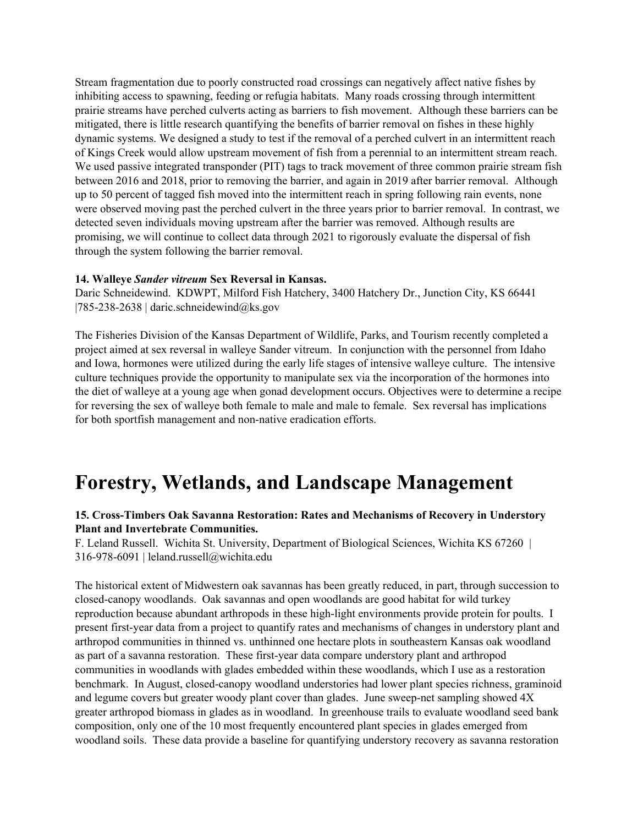Stream fragmentation due to poorly constructed road crossings can negatively affect native fishes by inhibiting access to spawning, feeding or refugia habitats. Many roads crossing through intermittent prairie streams have perched culverts acting as barriers to fish movement. Although these barriers can be mitigated, there is little research quantifying the benefits of barrier removal on fishes in these highly dynamic systems. We designed a study to test if the removal of a perched culvert in an intermittent reach of Kings Creek would allow upstream movement of fish from a perennial to an intermittent stream reach. We used passive integrated transponder (PIT) tags to track movement of three common prairie stream fish between 2016 and 2018, prior to removing the barrier, and again in 2019 after barrier removal. Although up to 50 percent of tagged fish moved into the intermittent reach in spring following rain events, none were observed moving past the perched culvert in the three years prior to barrier removal. In contrast, we detected seven individuals moving upstream after the barrier was removed. Although results are promising, we will continue to collect data through 2021 to rigorously evaluate the dispersal of fish through the system following the barrier removal.

#### **14. Walleye** *Sander vitreum* **Sex Reversal in Kansas.**

Daric Schneidewind. KDWPT, Milford Fish Hatchery, 3400 Hatchery Dr., Junction City, KS 66441 | $785-238-2638$  | daric.schneidewind@ks.gov

The Fisheries Division of the Kansas Department of Wildlife, Parks, and Tourism recently completed a project aimed at sex reversal in walleye Sander vitreum. In conjunction with the personnel from Idaho and Iowa, hormones were utilized during the early life stages of intensive walleye culture. The intensive culture techniques provide the opportunity to manipulate sex via the incorporation of the hormones into the diet of walleye at a young age when gonad development occurs. Objectives were to determine a recipe for reversing the sex of walleye both female to male and male to female. Sex reversal has implications for both sportfish management and non-native eradication efforts.

## **Forestry, Wetlands, and Landscape Management**

#### **15. Cross-Timbers Oak Savanna Restoration: Rates and Mechanisms of Recovery in Understory Plant and Invertebrate Communities.**

F. Leland Russell. Wichita St. University, Department of Biological Sciences, Wichita KS 67260 | 316-978-6091 | leland.russell@wichita.edu

The historical extent of Midwestern oak savannas has been greatly reduced, in part, through succession to closed-canopy woodlands. Oak savannas and open woodlands are good habitat for wild turkey reproduction because abundant arthropods in these high-light environments provide protein for poults. I present first-year data from a project to quantify rates and mechanisms of changes in understory plant and arthropod communities in thinned vs. unthinned one hectare plots in southeastern Kansas oak woodland as part of a savanna restoration. These first-year data compare understory plant and arthropod communities in woodlands with glades embedded within these woodlands, which I use as a restoration benchmark. In August, closed-canopy woodland understories had lower plant species richness, graminoid and legume covers but greater woody plant cover than glades. June sweep-net sampling showed 4X greater arthropod biomass in glades as in woodland. In greenhouse trails to evaluate woodland seed bank composition, only one of the 10 most frequently encountered plant species in glades emerged from woodland soils. These data provide a baseline for quantifying understory recovery as savanna restoration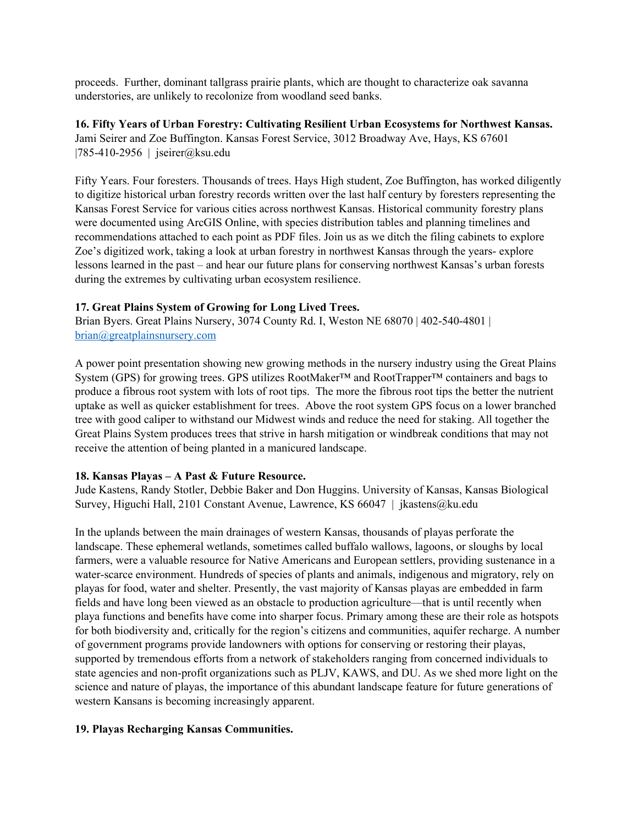proceeds. Further, dominant tallgrass prairie plants, which are thought to characterize oak savanna understories, are unlikely to recolonize from woodland seed banks.

**16. Fifty Years of Urban Forestry: Cultivating Resilient Urban Ecosystems for Northwest Kansas.** Jami Seirer and Zoe Buffington. Kansas Forest Service, 3012 Broadway Ave, Hays, KS 67601 |785-410-2956 | jseirer@ksu.edu

Fifty Years. Four foresters. Thousands of trees. Hays High student, Zoe Buffington, has worked diligently to digitize historical urban forestry records written over the last half century by foresters representing the Kansas Forest Service for various cities across northwest Kansas. Historical community forestry plans were documented using ArcGIS Online, with species distribution tables and planning timelines and recommendations attached to each point as PDF files. Join us as we ditch the filing cabinets to explore Zoe's digitized work, taking a look at urban forestry in northwest Kansas through the years- explore lessons learned in the past – and hear our future plans for conserving northwest Kansas's urban forests during the extremes by cultivating urban ecosystem resilience.

## **17. Great Plains System of Growing for Long Lived Trees.**

Brian Byers. Great Plains Nursery, 3074 County Rd. I, Weston NE 68070 | 402-540-4801 | [brian@greatplainsnursery.com](mailto:brian@greatplainsnursery.com)

A power point presentation showing new growing methods in the nursery industry using the Great Plains System (GPS) for growing trees. GPS utilizes RootMaker™ and RootTrapper™ containers and bags to produce a fibrous root system with lots of root tips. The more the fibrous root tips the better the nutrient uptake as well as quicker establishment for trees. Above the root system GPS focus on a lower branched tree with good caliper to withstand our Midwest winds and reduce the need for staking. All together the Great Plains System produces trees that strive in harsh mitigation or windbreak conditions that may not receive the attention of being planted in a manicured landscape.

#### **18. Kansas Playas – A Past & Future Resource.**

Jude Kastens, Randy Stotler, Debbie Baker and Don Huggins. University of Kansas, Kansas Biological Survey, Higuchi Hall, 2101 Constant Avenue, Lawrence, KS 66047 | jkastens@ku.edu

In the uplands between the main drainages of western Kansas, thousands of playas perforate the landscape. These ephemeral wetlands, sometimes called buffalo wallows, lagoons, or sloughs by local farmers, were a valuable resource for Native Americans and European settlers, providing sustenance in a water-scarce environment. Hundreds of species of plants and animals, indigenous and migratory, rely on playas for food, water and shelter. Presently, the vast majority of Kansas playas are embedded in farm fields and have long been viewed as an obstacle to production agriculture—that is until recently when playa functions and benefits have come into sharper focus. Primary among these are their role as hotspots for both biodiversity and, critically for the region's citizens and communities, aquifer recharge. A number of government programs provide landowners with options for conserving or restoring their playas, supported by tremendous efforts from a network of stakeholders ranging from concerned individuals to state agencies and non-profit organizations such as PLJV, KAWS, and DU. As we shed more light on the science and nature of playas, the importance of this abundant landscape feature for future generations of western Kansans is becoming increasingly apparent.

#### **19. Playas Recharging Kansas Communities.**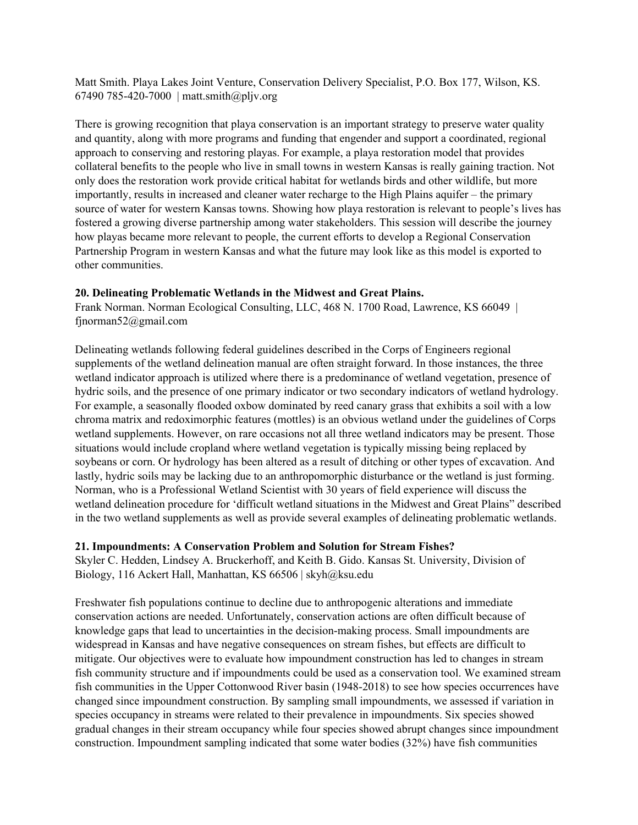Matt Smith. Playa Lakes Joint Venture, Conservation Delivery Specialist, P.O. Box 177, Wilson, KS. 67490 785-420-7000 | matt.smith@pljv.org

There is growing recognition that playa conservation is an important strategy to preserve water quality and quantity, along with more programs and funding that engender and support a coordinated, regional approach to conserving and restoring playas. For example, a playa restoration model that provides collateral benefits to the people who live in small towns in western Kansas is really gaining traction. Not only does the restoration work provide critical habitat for wetlands birds and other wildlife, but more importantly, results in increased and cleaner water recharge to the High Plains aquifer – the primary source of water for western Kansas towns. Showing how playa restoration is relevant to people's lives has fostered a growing diverse partnership among water stakeholders. This session will describe the journey how playas became more relevant to people, the current efforts to develop a Regional Conservation Partnership Program in western Kansas and what the future may look like as this model is exported to other communities.

## **20. Delineating Problematic Wetlands in the Midwest and Great Plains.**

Frank Norman. Norman Ecological Consulting, LLC, 468 N. 1700 Road, Lawrence, KS 66049 | fjnorman52@gmail.com

Delineating wetlands following federal guidelines described in the Corps of Engineers regional supplements of the wetland delineation manual are often straight forward. In those instances, the three wetland indicator approach is utilized where there is a predominance of wetland vegetation, presence of hydric soils, and the presence of one primary indicator or two secondary indicators of wetland hydrology. For example, a seasonally flooded oxbow dominated by reed canary grass that exhibits a soil with a low chroma matrix and redoximorphic features (mottles) is an obvious wetland under the guidelines of Corps wetland supplements. However, on rare occasions not all three wetland indicators may be present. Those situations would include cropland where wetland vegetation is typically missing being replaced by soybeans or corn. Or hydrology has been altered as a result of ditching or other types of excavation. And lastly, hydric soils may be lacking due to an anthropomorphic disturbance or the wetland is just forming. Norman, who is a Professional Wetland Scientist with 30 years of field experience will discuss the wetland delineation procedure for 'difficult wetland situations in the Midwest and Great Plains" described in the two wetland supplements as well as provide several examples of delineating problematic wetlands.

#### **21. Impoundments: A Conservation Problem and Solution for Stream Fishes?**

Skyler C. Hedden, Lindsey A. Bruckerhoff, and Keith B. Gido. Kansas St. University, Division of Biology, 116 Ackert Hall, Manhattan, KS 66506 | skyh@ksu.edu

Freshwater fish populations continue to decline due to anthropogenic alterations and immediate conservation actions are needed. Unfortunately, conservation actions are often difficult because of knowledge gaps that lead to uncertainties in the decision-making process. Small impoundments are widespread in Kansas and have negative consequences on stream fishes, but effects are difficult to mitigate. Our objectives were to evaluate how impoundment construction has led to changes in stream fish community structure and if impoundments could be used as a conservation tool. We examined stream fish communities in the Upper Cottonwood River basin (1948-2018) to see how species occurrences have changed since impoundment construction. By sampling small impoundments, we assessed if variation in species occupancy in streams were related to their prevalence in impoundments. Six species showed gradual changes in their stream occupancy while four species showed abrupt changes since impoundment construction. Impoundment sampling indicated that some water bodies (32%) have fish communities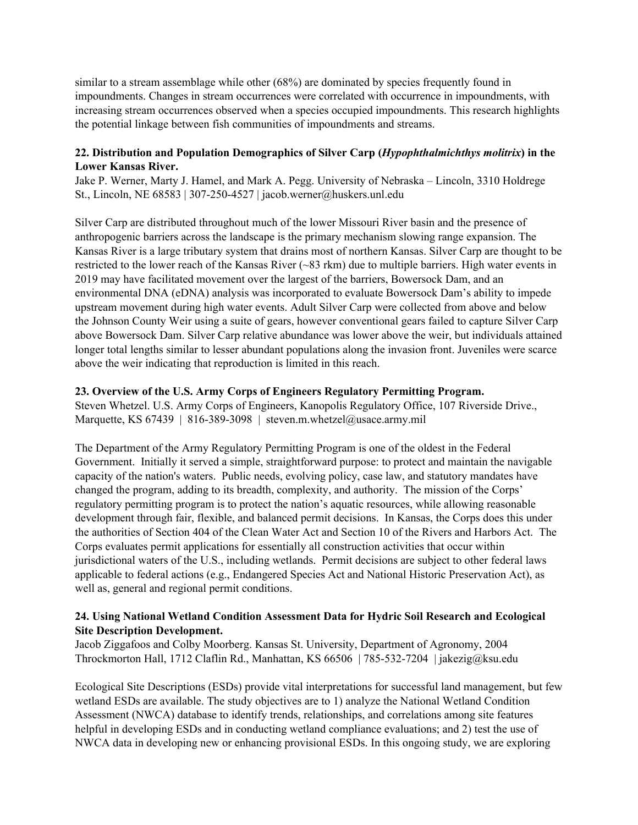similar to a stream assemblage while other (68%) are dominated by species frequently found in impoundments. Changes in stream occurrences were correlated with occurrence in impoundments, with increasing stream occurrences observed when a species occupied impoundments. This research highlights the potential linkage between fish communities of impoundments and streams.

## **22. Distribution and Population Demographics of Silver Carp (***Hypophthalmichthys molitrix***) in the Lower Kansas River.**

Jake P. Werner, Marty J. Hamel, and Mark A. Pegg. University of Nebraska – Lincoln, 3310 Holdrege St., Lincoln, NE 68583 | 307-250-4527 | jacob.werner@huskers.unl.edu

Silver Carp are distributed throughout much of the lower Missouri River basin and the presence of anthropogenic barriers across the landscape is the primary mechanism slowing range expansion. The Kansas River is a large tributary system that drains most of northern Kansas. Silver Carp are thought to be restricted to the lower reach of the Kansas River (~83 rkm) due to multiple barriers. High water events in 2019 may have facilitated movement over the largest of the barriers, Bowersock Dam, and an environmental DNA (eDNA) analysis was incorporated to evaluate Bowersock Dam's ability to impede upstream movement during high water events. Adult Silver Carp were collected from above and below the Johnson County Weir using a suite of gears, however conventional gears failed to capture Silver Carp above Bowersock Dam. Silver Carp relative abundance was lower above the weir, but individuals attained longer total lengths similar to lesser abundant populations along the invasion front. Juveniles were scarce above the weir indicating that reproduction is limited in this reach.

## **23. Overview of the U.S. Army Corps of Engineers Regulatory Permitting Program.**

Steven Whetzel. U.S. Army Corps of Engineers, Kanopolis Regulatory Office, 107 Riverside Drive., Marquette, KS 67439 | 816-389-3098 | steven.m.whetzel@usace.army.mil

The Department of the Army Regulatory Permitting Program is one of the oldest in the Federal Government. Initially it served a simple, straightforward purpose: to protect and maintain the navigable capacity of the nation's waters. Public needs, evolving policy, case law, and statutory mandates have changed the program, adding to its breadth, complexity, and authority. The mission of the Corps' regulatory permitting program is to protect the nation's aquatic resources, while allowing reasonable development through fair, flexible, and balanced permit decisions. In Kansas, the Corps does this under the authorities of Section 404 of the Clean Water Act and Section 10 of the Rivers and Harbors Act. The Corps evaluates permit applications for essentially all construction activities that occur within jurisdictional waters of the U.S., including wetlands. Permit decisions are subject to other federal laws applicable to federal actions (e.g., Endangered Species Act and National Historic Preservation Act), as well as, general and regional permit conditions.

## **24. Using National Wetland Condition Assessment Data for Hydric Soil Research and Ecological Site Description Development.**

Jacob Ziggafoos and Colby Moorberg. Kansas St. University, Department of Agronomy, 2004 Throckmorton Hall, 1712 Claflin Rd., Manhattan, KS 66506 | 785-532-7204 | jakezig@ksu.edu

Ecological Site Descriptions (ESDs) provide vital interpretations for successful land management, but few wetland ESDs are available. The study objectives are to 1) analyze the National Wetland Condition Assessment (NWCA) database to identify trends, relationships, and correlations among site features helpful in developing ESDs and in conducting wetland compliance evaluations; and 2) test the use of NWCA data in developing new or enhancing provisional ESDs. In this ongoing study, we are exploring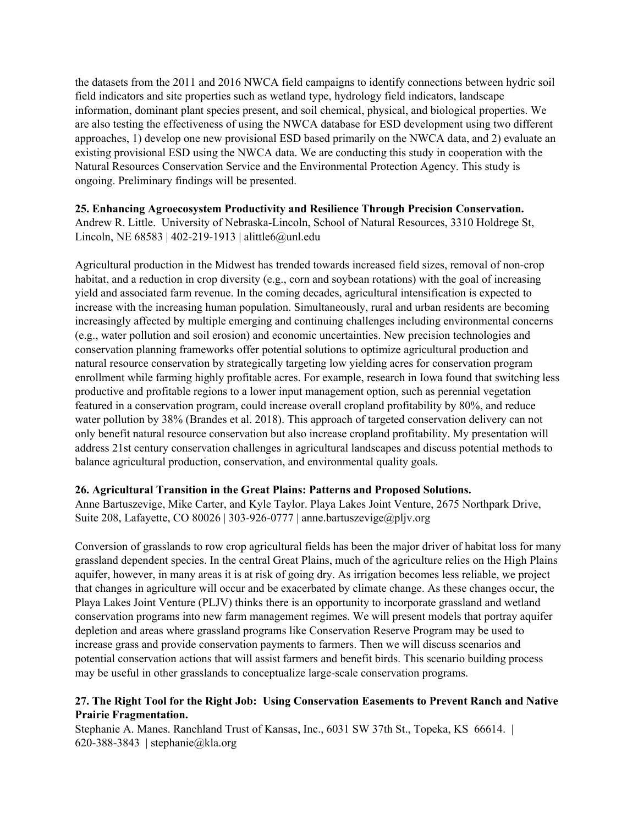the datasets from the 2011 and 2016 NWCA field campaigns to identify connections between hydric soil field indicators and site properties such as wetland type, hydrology field indicators, landscape information, dominant plant species present, and soil chemical, physical, and biological properties. We are also testing the effectiveness of using the NWCA database for ESD development using two different approaches, 1) develop one new provisional ESD based primarily on the NWCA data, and 2) evaluate an existing provisional ESD using the NWCA data. We are conducting this study in cooperation with the Natural Resources Conservation Service and the Environmental Protection Agency. This study is ongoing. Preliminary findings will be presented.

#### **25. Enhancing Agroecosystem Productivity and Resilience Through Precision Conservation.**

Andrew R. Little. University of Nebraska-Lincoln, School of Natural Resources, 3310 Holdrege St, Lincoln, NE 68583 | 402-219-1913 | alittle6@unl.edu

Agricultural production in the Midwest has trended towards increased field sizes, removal of non-crop habitat, and a reduction in crop diversity (e.g., corn and soybean rotations) with the goal of increasing yield and associated farm revenue. In the coming decades, agricultural intensification is expected to increase with the increasing human population. Simultaneously, rural and urban residents are becoming increasingly affected by multiple emerging and continuing challenges including environmental concerns (e.g., water pollution and soil erosion) and economic uncertainties. New precision technologies and conservation planning frameworks offer potential solutions to optimize agricultural production and natural resource conservation by strategically targeting low yielding acres for conservation program enrollment while farming highly profitable acres. For example, research in Iowa found that switching less productive and profitable regions to a lower input management option, such as perennial vegetation featured in a conservation program, could increase overall cropland profitability by 80%, and reduce water pollution by 38% (Brandes et al. 2018). This approach of targeted conservation delivery can not only benefit natural resource conservation but also increase cropland profitability. My presentation will address 21st century conservation challenges in agricultural landscapes and discuss potential methods to balance agricultural production, conservation, and environmental quality goals.

## **26. Agricultural Transition in the Great Plains: Patterns and Proposed Solutions.**

Anne Bartuszevige, Mike Carter, and Kyle Taylor. Playa Lakes Joint Venture, 2675 Northpark Drive, Suite 208, Lafayette, CO 80026 | 303-926-0777 | anne.bartuszevige@pljv.org

Conversion of grasslands to row crop agricultural fields has been the major driver of habitat loss for many grassland dependent species. In the central Great Plains, much of the agriculture relies on the High Plains aquifer, however, in many areas it is at risk of going dry. As irrigation becomes less reliable, we project that changes in agriculture will occur and be exacerbated by climate change. As these changes occur, the Playa Lakes Joint Venture (PLJV) thinks there is an opportunity to incorporate grassland and wetland conservation programs into new farm management regimes. We will present models that portray aquifer depletion and areas where grassland programs like Conservation Reserve Program may be used to increase grass and provide conservation payments to farmers. Then we will discuss scenarios and potential conservation actions that will assist farmers and benefit birds. This scenario building process may be useful in other grasslands to conceptualize large-scale conservation programs.

## **27. The Right Tool for the Right Job: Using Conservation Easements to Prevent Ranch and Native Prairie Fragmentation.**

Stephanie A. Manes. Ranchland Trust of Kansas, Inc., 6031 SW 37th St., Topeka, KS 66614. | 620-388-3843 | stephanie@kla.org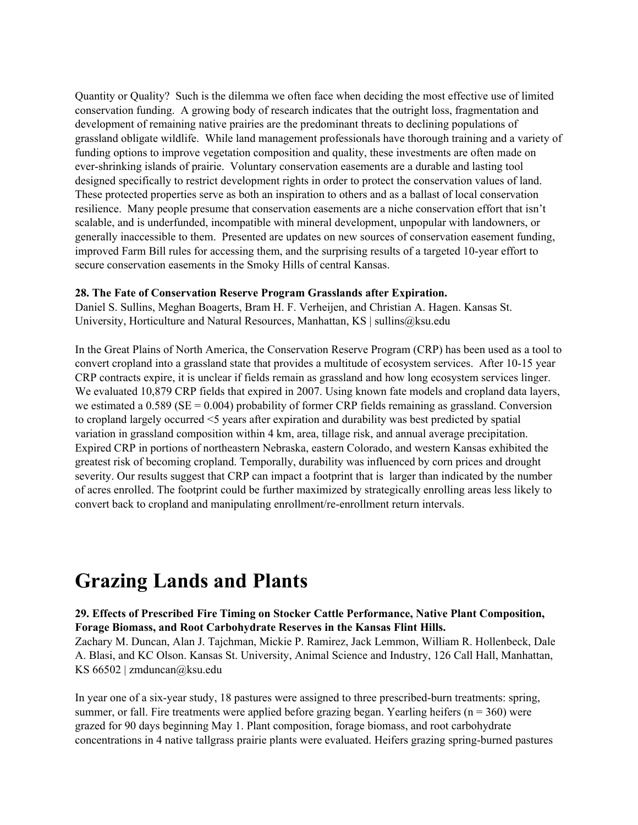Quantity or Quality? Such is the dilemma we often face when deciding the most effective use of limited conservation funding. A growing body of research indicates that the outright loss, fragmentation and development of remaining native prairies are the predominant threats to declining populations of grassland obligate wildlife. While land management professionals have thorough training and a variety of funding options to improve vegetation composition and quality, these investments are often made on ever-shrinking islands of prairie. Voluntary conservation easements are a durable and lasting tool designed specifically to restrict development rights in order to protect the conservation values of land. These protected properties serve as both an inspiration to others and as a ballast of local conservation resilience. Many people presume that conservation easements are a niche conservation effort that isn't scalable, and is underfunded, incompatible with mineral development, unpopular with landowners, or generally inaccessible to them. Presented are updates on new sources of conservation easement funding, improved Farm Bill rules for accessing them, and the surprising results of a targeted 10-year effort to secure conservation easements in the Smoky Hills of central Kansas.

#### **28. The Fate of Conservation Reserve Program Grasslands after Expiration.**

Daniel S. Sullins, Meghan Boagerts, Bram H. F. Verheijen, and Christian A. Hagen. Kansas St. University, Horticulture and Natural Resources, Manhattan, KS | sullins@ksu.edu

In the Great Plains of North America, the Conservation Reserve Program (CRP) has been used as a tool to convert cropland into a grassland state that provides a multitude of ecosystem services. After 10-15 year CRP contracts expire, it is unclear if fields remain as grassland and how long ecosystem services linger. We evaluated 10,879 CRP fields that expired in 2007. Using known fate models and cropland data layers, we estimated a  $0.589$  (SE = 0.004) probability of former CRP fields remaining as grassland. Conversion to cropland largely occurred <5 years after expiration and durability was best predicted by spatial variation in grassland composition within 4 km, area, tillage risk, and annual average precipitation. Expired CRP in portions of northeastern Nebraska, eastern Colorado, and western Kansas exhibited the greatest risk of becoming cropland. Temporally, durability was influenced by corn prices and drought severity. Our results suggest that CRP can impact a footprint that is larger than indicated by the number of acres enrolled. The footprint could be further maximized by strategically enrolling areas less likely to convert back to cropland and manipulating enrollment/re-enrollment return intervals.

## **Grazing Lands and Plants**

#### **29. Effects of Prescribed Fire Timing on Stocker Cattle Performance, Native Plant Composition, Forage Biomass, and Root Carbohydrate Reserves in the Kansas Flint Hills.**

Zachary M. Duncan, Alan J. Tajchman, Mickie P. Ramirez, Jack Lemmon, William R. Hollenbeck, Dale A. Blasi, and KC Olson. Kansas St. University, Animal Science and Industry, 126 Call Hall, Manhattan, KS 66502 | zmduncan@ksu.edu

In year one of a six-year study, 18 pastures were assigned to three prescribed-burn treatments: spring, summer, or fall. Fire treatments were applied before grazing began. Yearling heifers ( $n = 360$ ) were grazed for 90 days beginning May 1. Plant composition, forage biomass, and root carbohydrate concentrations in 4 native tallgrass prairie plants were evaluated. Heifers grazing spring-burned pastures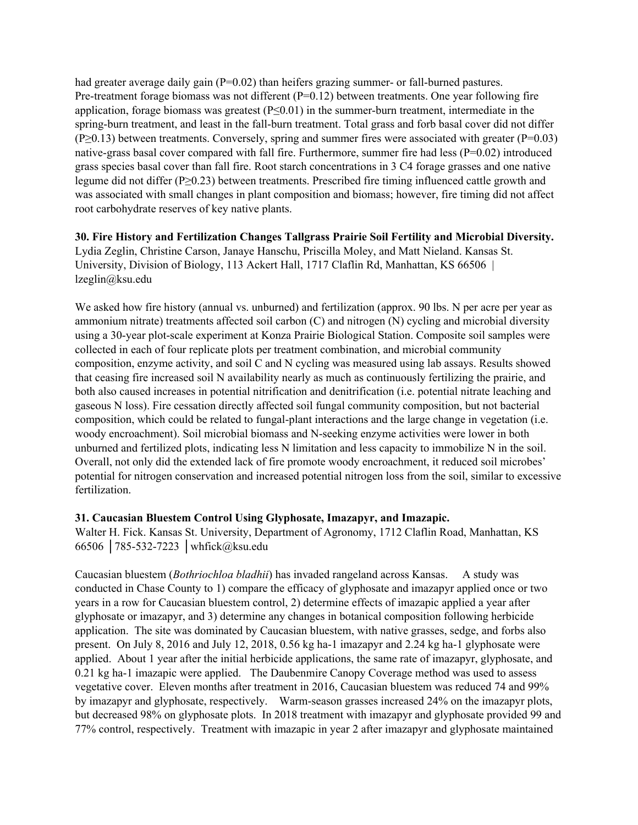had greater average daily gain (P=0.02) than heifers grazing summer- or fall-burned pastures. Pre-treatment forage biomass was not different (P=0.12) between treatments. One year following fire application, forage biomass was greatest (P≤0.01) in the summer-burn treatment, intermediate in the spring-burn treatment, and least in the fall-burn treatment. Total grass and forb basal cover did not differ (P≥0.13) between treatments. Conversely, spring and summer fires were associated with greater (P=0.03) native-grass basal cover compared with fall fire. Furthermore, summer fire had less (P=0.02) introduced grass species basal cover than fall fire. Root starch concentrations in 3 C4 forage grasses and one native legume did not differ (P≥0.23) between treatments. Prescribed fire timing influenced cattle growth and was associated with small changes in plant composition and biomass; however, fire timing did not affect root carbohydrate reserves of key native plants.

**30. Fire History and Fertilization Changes Tallgrass Prairie Soil Fertility and Microbial Diversity.** Lydia Zeglin, Christine Carson, Janaye Hanschu, Priscilla Moley, and Matt Nieland. Kansas St. University, Division of Biology, 113 Ackert Hall, 1717 Claflin Rd, Manhattan, KS 66506 | lzeglin@ksu.edu

We asked how fire history (annual vs. unburned) and fertilization (approx. 90 lbs. N per acre per year as ammonium nitrate) treatments affected soil carbon (C) and nitrogen (N) cycling and microbial diversity using a 30-year plot-scale experiment at Konza Prairie Biological Station. Composite soil samples were collected in each of four replicate plots per treatment combination, and microbial community composition, enzyme activity, and soil C and N cycling was measured using lab assays. Results showed that ceasing fire increased soil N availability nearly as much as continuously fertilizing the prairie, and both also caused increases in potential nitrification and denitrification (i.e. potential nitrate leaching and gaseous N loss). Fire cessation directly affected soil fungal community composition, but not bacterial composition, which could be related to fungal-plant interactions and the large change in vegetation (i.e. woody encroachment). Soil microbial biomass and N-seeking enzyme activities were lower in both unburned and fertilized plots, indicating less N limitation and less capacity to immobilize N in the soil. Overall, not only did the extended lack of fire promote woody encroachment, it reduced soil microbes' potential for nitrogen conservation and increased potential nitrogen loss from the soil, similar to excessive fertilization.

#### **31. Caucasian Bluestem Control Using Glyphosate, Imazapyr, and Imazapic.**

Walter H. Fick. Kansas St. University, Department of Agronomy, 1712 Claflin Road, Manhattan, KS 66506 │785-532-7223 │whfick@ksu.edu

Caucasian bluestem (*Bothriochloa bladhii*) has invaded rangeland across Kansas. A study was conducted in Chase County to 1) compare the efficacy of glyphosate and imazapyr applied once or two years in a row for Caucasian bluestem control, 2) determine effects of imazapic applied a year after glyphosate or imazapyr, and 3) determine any changes in botanical composition following herbicide application. The site was dominated by Caucasian bluestem, with native grasses, sedge, and forbs also present. On July 8, 2016 and July 12, 2018, 0.56 kg ha-1 imazapyr and 2.24 kg ha-1 glyphosate were applied. About 1 year after the initial herbicide applications, the same rate of imazapyr, glyphosate, and 0.21 kg ha-1 imazapic were applied. The Daubenmire Canopy Coverage method was used to assess vegetative cover. Eleven months after treatment in 2016, Caucasian bluestem was reduced 74 and 99% by imazapyr and glyphosate, respectively. Warm-season grasses increased 24% on the imazapyr plots, but decreased 98% on glyphosate plots. In 2018 treatment with imazapyr and glyphosate provided 99 and 77% control, respectively. Treatment with imazapic in year 2 after imazapyr and glyphosate maintained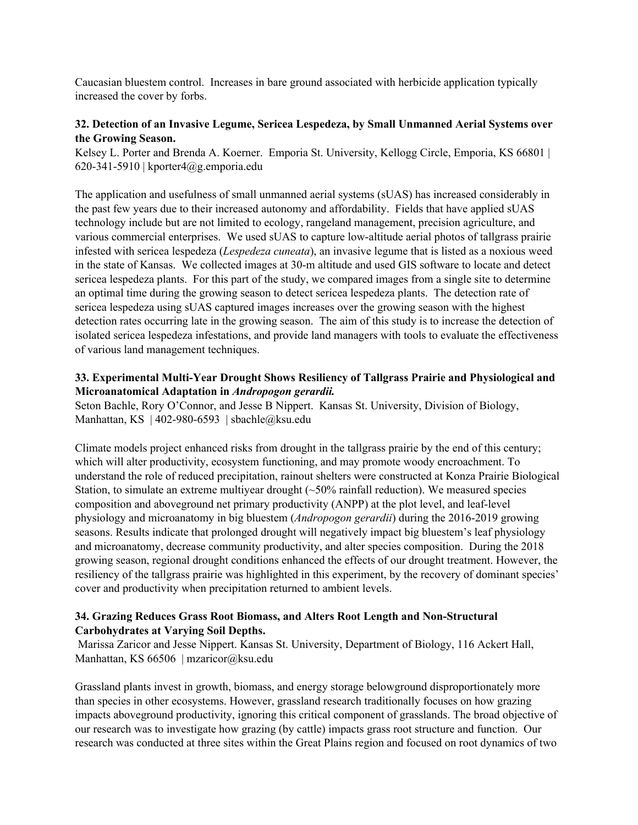Caucasian bluestem control. Increases in bare ground associated with herbicide application typically increased the cover by forbs.

## **32. Detection of an Invasive Legume, Sericea Lespedeza, by Small Unmanned Aerial Systems over the Growing Season.**

Kelsey L. Porter and Brenda A. Koerner. Emporia St. University, Kellogg Circle, Emporia, KS 66801 | 620-341-5910 | kporter4@g.emporia.edu

The application and usefulness of small unmanned aerial systems (sUAS) has increased considerably in the past few years due to their increased autonomy and affordability. Fields that have applied sUAS technology include but are not limited to ecology, rangeland management, precision agriculture, and various commercial enterprises. We used sUAS to capture low-altitude aerial photos of tallgrass prairie infested with sericea lespedeza (*Lespedeza cuneata*), an invasive legume that is listed as a noxious weed in the state of Kansas. We collected images at 30-m altitude and used GIS software to locate and detect sericea lespedeza plants. For this part of the study, we compared images from a single site to determine an optimal time during the growing season to detect sericea lespedeza plants. The detection rate of sericea lespedeza using sUAS captured images increases over the growing season with the highest detection rates occurring late in the growing season. The aim of this study is to increase the detection of isolated sericea lespedeza infestations, and provide land managers with tools to evaluate the effectiveness of various land management techniques.

## **33. Experimental Multi-Year Drought Shows Resiliency of Tallgrass Prairie and Physiological and Microanatomical Adaptation in** *Andropogon gerardii.*

Seton Bachle, Rory O'Connor, and Jesse B Nippert. Kansas St. University, Division of Biology, Manhattan, KS | 402-980-6593 | sbachle@ksu.edu

Climate models project enhanced risks from drought in the tallgrass prairie by the end of this century; which will alter productivity, ecosystem functioning, and may promote woody encroachment. To understand the role of reduced precipitation, rainout shelters were constructed at Konza Prairie Biological Station, to simulate an extreme multiyear drought (~50% rainfall reduction). We measured species composition and aboveground net primary productivity (ANPP) at the plot level, and leaf-level physiology and microanatomy in big bluestem (*Andropogon gerardii*) during the 2016-2019 growing seasons. Results indicate that prolonged drought will negatively impact big bluestem's leaf physiology and microanatomy, decrease community productivity, and alter species composition. During the 2018 growing season, regional drought conditions enhanced the effects of our drought treatment. However, the resiliency of the tallgrass prairie was highlighted in this experiment, by the recovery of dominant species' cover and productivity when precipitation returned to ambient levels.

## **34. Grazing Reduces Grass Root Biomass, and Alters Root Length and Non-Structural Carbohydrates at Varying Soil Depths.**

Marissa Zaricor and Jesse Nippert. Kansas St. University, Department of Biology, 116 Ackert Hall, Manhattan, KS 66506 | mzaricor@ksu.edu

Grassland plants invest in growth, biomass, and energy storage belowground disproportionately more than species in other ecosystems. However, grassland research traditionally focuses on how grazing impacts aboveground productivity, ignoring this critical component of grasslands. The broad objective of our research was to investigate how grazing (by cattle) impacts grass root structure and function. Our research was conducted at three sites within the Great Plains region and focused on root dynamics of two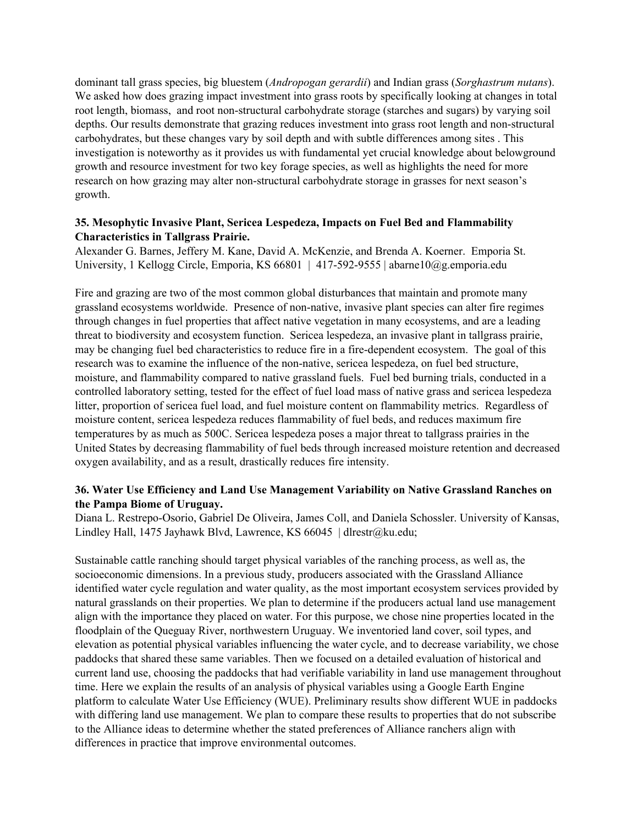dominant tall grass species, big bluestem (*Andropogan gerardii*) and Indian grass (*Sorghastrum nutans*). We asked how does grazing impact investment into grass roots by specifically looking at changes in total root length, biomass, and root non-structural carbohydrate storage (starches and sugars) by varying soil depths. Our results demonstrate that grazing reduces investment into grass root length and non-structural carbohydrates, but these changes vary by soil depth and with subtle differences among sites . This investigation is noteworthy as it provides us with fundamental yet crucial knowledge about belowground growth and resource investment for two key forage species, as well as highlights the need for more research on how grazing may alter non-structural carbohydrate storage in grasses for next season's growth.

## **35. Mesophytic Invasive Plant, Sericea Lespedeza, Impacts on Fuel Bed and Flammability Characteristics in Tallgrass Prairie.**

Alexander G. Barnes, Jeffery M. Kane, David A. McKenzie, and Brenda A. Koerner. Emporia St. University, 1 Kellogg Circle, Emporia, KS  $66801 + 417-592-9555$  | abarne $10@g$ . emporia.edu

Fire and grazing are two of the most common global disturbances that maintain and promote many grassland ecosystems worldwide. Presence of non-native, invasive plant species can alter fire regimes through changes in fuel properties that affect native vegetation in many ecosystems, and are a leading threat to biodiversity and ecosystem function. Sericea lespedeza, an invasive plant in tallgrass prairie, may be changing fuel bed characteristics to reduce fire in a fire-dependent ecosystem. The goal of this research was to examine the influence of the non-native, sericea lespedeza, on fuel bed structure, moisture, and flammability compared to native grassland fuels. Fuel bed burning trials, conducted in a controlled laboratory setting, tested for the effect of fuel load mass of native grass and sericea lespedeza litter, proportion of sericea fuel load, and fuel moisture content on flammability metrics. Regardless of moisture content, sericea lespedeza reduces flammability of fuel beds, and reduces maximum fire temperatures by as much as 500C. Sericea lespedeza poses a major threat to tallgrass prairies in the United States by decreasing flammability of fuel beds through increased moisture retention and decreased oxygen availability, and as a result, drastically reduces fire intensity.

## **36. Water Use Efficiency and Land Use Management Variability on Native Grassland Ranches on the Pampa Biome of Uruguay.**

Diana L. Restrepo-Osorio, Gabriel De Oliveira, James Coll, and Daniela Schossler. University of Kansas, Lindley Hall, 1475 Jayhawk Blvd, Lawrence, KS 66045 | dlrestr@ku.edu;

Sustainable cattle ranching should target physical variables of the ranching process, as well as, the socioeconomic dimensions. In a previous study, producers associated with the Grassland Alliance identified water cycle regulation and water quality, as the most important ecosystem services provided by natural grasslands on their properties. We plan to determine if the producers actual land use management align with the importance they placed on water. For this purpose, we chose nine properties located in the floodplain of the Queguay River, northwestern Uruguay. We inventoried land cover, soil types, and elevation as potential physical variables influencing the water cycle, and to decrease variability, we chose paddocks that shared these same variables. Then we focused on a detailed evaluation of historical and current land use, choosing the paddocks that had verifiable variability in land use management throughout time. Here we explain the results of an analysis of physical variables using a Google Earth Engine platform to calculate Water Use Efficiency (WUE). Preliminary results show different WUE in paddocks with differing land use management. We plan to compare these results to properties that do not subscribe to the Alliance ideas to determine whether the stated preferences of Alliance ranchers align with differences in practice that improve environmental outcomes.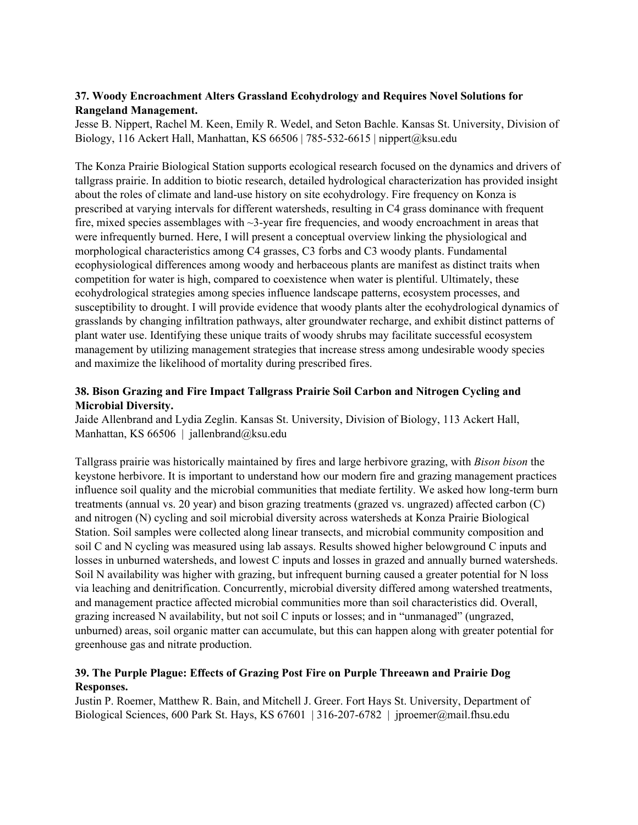## **37. Woody Encroachment Alters Grassland Ecohydrology and Requires Novel Solutions for Rangeland Management.**

Jesse B. Nippert, Rachel M. Keen, Emily R. Wedel, and Seton Bachle. Kansas St. University, Division of Biology, 116 Ackert Hall, Manhattan, KS 66506 | 785-532-6615 | nippert@ksu.edu

The Konza Prairie Biological Station supports ecological research focused on the dynamics and drivers of tallgrass prairie. In addition to biotic research, detailed hydrological characterization has provided insight about the roles of climate and land-use history on site ecohydrology. Fire frequency on Konza is prescribed at varying intervals for different watersheds, resulting in C4 grass dominance with frequent fire, mixed species assemblages with ~3-year fire frequencies, and woody encroachment in areas that were infrequently burned. Here, I will present a conceptual overview linking the physiological and morphological characteristics among C4 grasses, C3 forbs and C3 woody plants. Fundamental ecophysiological differences among woody and herbaceous plants are manifest as distinct traits when competition for water is high, compared to coexistence when water is plentiful. Ultimately, these ecohydrological strategies among species influence landscape patterns, ecosystem processes, and susceptibility to drought. I will provide evidence that woody plants alter the ecohydrological dynamics of grasslands by changing infiltration pathways, alter groundwater recharge, and exhibit distinct patterns of plant water use. Identifying these unique traits of woody shrubs may facilitate successful ecosystem management by utilizing management strategies that increase stress among undesirable woody species and maximize the likelihood of mortality during prescribed fires.

## **38. Bison Grazing and Fire Impact Tallgrass Prairie Soil Carbon and Nitrogen Cycling and Microbial Diversity.**

Jaide Allenbrand and Lydia Zeglin. Kansas St. University, Division of Biology, 113 Ackert Hall, Manhattan, KS 66506 | jallenbrand@ksu.edu

Tallgrass prairie was historically maintained by fires and large herbivore grazing, with *Bison bison* the keystone herbivore. It is important to understand how our modern fire and grazing management practices influence soil quality and the microbial communities that mediate fertility. We asked how long-term burn treatments (annual vs. 20 year) and bison grazing treatments (grazed vs. ungrazed) affected carbon (C) and nitrogen (N) cycling and soil microbial diversity across watersheds at Konza Prairie Biological Station. Soil samples were collected along linear transects, and microbial community composition and soil C and N cycling was measured using lab assays. Results showed higher belowground C inputs and losses in unburned watersheds, and lowest C inputs and losses in grazed and annually burned watersheds. Soil N availability was higher with grazing, but infrequent burning caused a greater potential for N loss via leaching and denitrification. Concurrently, microbial diversity differed among watershed treatments, and management practice affected microbial communities more than soil characteristics did. Overall, grazing increased N availability, but not soil C inputs or losses; and in "unmanaged" (ungrazed, unburned) areas, soil organic matter can accumulate, but this can happen along with greater potential for greenhouse gas and nitrate production.

## **39. The Purple Plague: Effects of Grazing Post Fire on Purple Threeawn and Prairie Dog Responses.**

Justin P. Roemer, Matthew R. Bain, and Mitchell J. Greer. Fort Hays St. University, Department of Biological Sciences, 600 Park St. Hays, KS 67601 | 316-207-6782 | jproemer@mail.fhsu.edu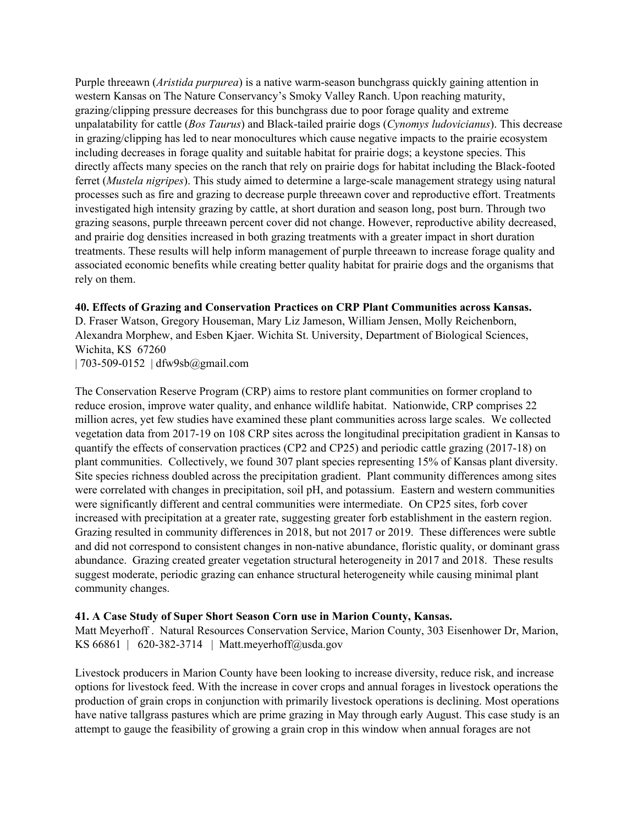Purple threeawn (*Aristida purpurea*) is a native warm-season bunchgrass quickly gaining attention in western Kansas on The Nature Conservancy's Smoky Valley Ranch. Upon reaching maturity, grazing/clipping pressure decreases for this bunchgrass due to poor forage quality and extreme unpalatability for cattle (*Bos Taurus*) and Black-tailed prairie dogs (*Cynomys ludovicianus*). This decrease in grazing/clipping has led to near monocultures which cause negative impacts to the prairie ecosystem including decreases in forage quality and suitable habitat for prairie dogs; a keystone species. This directly affects many species on the ranch that rely on prairie dogs for habitat including the Black-footed ferret (*Mustela nigripes*). This study aimed to determine a large-scale management strategy using natural processes such as fire and grazing to decrease purple threeawn cover and reproductive effort. Treatments investigated high intensity grazing by cattle, at short duration and season long, post burn. Through two grazing seasons, purple threeawn percent cover did not change. However, reproductive ability decreased, and prairie dog densities increased in both grazing treatments with a greater impact in short duration treatments. These results will help inform management of purple threeawn to increase forage quality and associated economic benefits while creating better quality habitat for prairie dogs and the organisms that rely on them.

#### **40. Effects of Grazing and Conservation Practices on CRP Plant Communities across Kansas.**

D. Fraser Watson, Gregory Houseman, Mary Liz Jameson, William Jensen, Molly Reichenborn, Alexandra Morphew, and Esben Kjaer. Wichita St. University, Department of Biological Sciences, Wichita, KS 67260

| 703-509-0152 | dfw9sb@gmail.com

The Conservation Reserve Program (CRP) aims to restore plant communities on former cropland to reduce erosion, improve water quality, and enhance wildlife habitat. Nationwide, CRP comprises 22 million acres, yet few studies have examined these plant communities across large scales. We collected vegetation data from 2017-19 on 108 CRP sites across the longitudinal precipitation gradient in Kansas to quantify the effects of conservation practices (CP2 and CP25) and periodic cattle grazing (2017-18) on plant communities. Collectively, we found 307 plant species representing 15% of Kansas plant diversity. Site species richness doubled across the precipitation gradient. Plant community differences among sites were correlated with changes in precipitation, soil pH, and potassium. Eastern and western communities were significantly different and central communities were intermediate. On CP25 sites, forb cover increased with precipitation at a greater rate, suggesting greater forb establishment in the eastern region. Grazing resulted in community differences in 2018, but not 2017 or 2019. These differences were subtle and did not correspond to consistent changes in non-native abundance, floristic quality, or dominant grass abundance. Grazing created greater vegetation structural heterogeneity in 2017 and 2018. These results suggest moderate, periodic grazing can enhance structural heterogeneity while causing minimal plant community changes.

#### **41. A Case Study of Super Short Season Corn use in Marion County, Kansas.**

Matt Meyerhoff . Natural Resources Conservation Service, Marion County, 303 Eisenhower Dr, Marion, KS 66861 | 620-382-3714 | Matt.meyerhoff@usda.gov

Livestock producers in Marion County have been looking to increase diversity, reduce risk, and increase options for livestock feed. With the increase in cover crops and annual forages in livestock operations the production of grain crops in conjunction with primarily livestock operations is declining. Most operations have native tallgrass pastures which are prime grazing in May through early August. This case study is an attempt to gauge the feasibility of growing a grain crop in this window when annual forages are not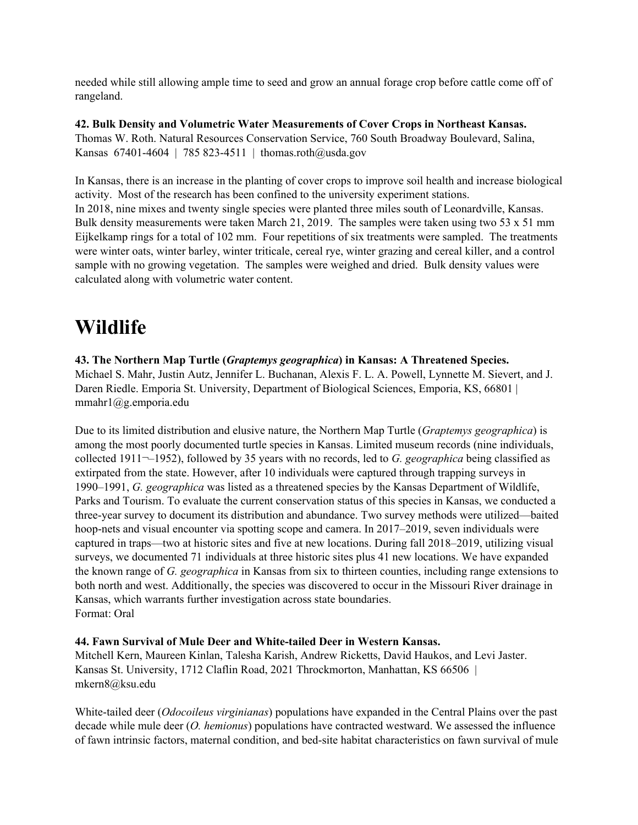needed while still allowing ample time to seed and grow an annual forage crop before cattle come off of rangeland.

**42. Bulk Density and Volumetric Water Measurements of Cover Crops in Northeast Kansas.** Thomas W. Roth. Natural Resources Conservation Service, 760 South Broadway Boulevard, Salina, Kansas 67401-4604 | 785 823-4511 | thomas.roth@usda.gov

In Kansas, there is an increase in the planting of cover crops to improve soil health and increase biological activity. Most of the research has been confined to the university experiment stations. In 2018, nine mixes and twenty single species were planted three miles south of Leonardville, Kansas. Bulk density measurements were taken March 21, 2019. The samples were taken using two 53 x 51 mm Eijkelkamp rings for a total of 102 mm. Four repetitions of six treatments were sampled. The treatments were winter oats, winter barley, winter triticale, cereal rye, winter grazing and cereal killer, and a control sample with no growing vegetation. The samples were weighed and dried. Bulk density values were calculated along with volumetric water content.

## **Wildlife**

**43. The Northern Map Turtle (***Graptemys geographica***) in Kansas: A Threatened Species.** Michael S. Mahr, Justin Autz, Jennifer L. Buchanan, Alexis F. L. A. Powell, Lynnette M. Sievert, and J. Daren Riedle. Emporia St. University, Department of Biological Sciences, Emporia, KS, 66801 | mmahr1@g.emporia.edu

Due to its limited distribution and elusive nature, the Northern Map Turtle (*Graptemys geographica*) is among the most poorly documented turtle species in Kansas. Limited museum records (nine individuals, collected 1911¬–1952), followed by 35 years with no records, led to *G. geographica* being classified as extirpated from the state. However, after 10 individuals were captured through trapping surveys in 1990–1991, *G. geographica* was listed as a threatened species by the Kansas Department of Wildlife, Parks and Tourism. To evaluate the current conservation status of this species in Kansas, we conducted a three-year survey to document its distribution and abundance. Two survey methods were utilized—baited hoop-nets and visual encounter via spotting scope and camera. In 2017–2019, seven individuals were captured in traps—two at historic sites and five at new locations. During fall 2018–2019, utilizing visual surveys, we documented 71 individuals at three historic sites plus 41 new locations. We have expanded the known range of *G. geographica* in Kansas from six to thirteen counties, including range extensions to both north and west. Additionally, the species was discovered to occur in the Missouri River drainage in Kansas, which warrants further investigation across state boundaries. Format: Oral

#### **44. Fawn Survival of Mule Deer and White-tailed Deer in Western Kansas.**

Mitchell Kern, Maureen Kinlan, Talesha Karish, Andrew Ricketts, David Haukos, and Levi Jaster. Kansas St. University, 1712 Claflin Road, 2021 Throckmorton, Manhattan, KS 66506 | mkern8@ksu.edu

White-tailed deer (*Odocoileus virginianas*) populations have expanded in the Central Plains over the past decade while mule deer (*O. hemionus*) populations have contracted westward. We assessed the influence of fawn intrinsic factors, maternal condition, and bed-site habitat characteristics on fawn survival of mule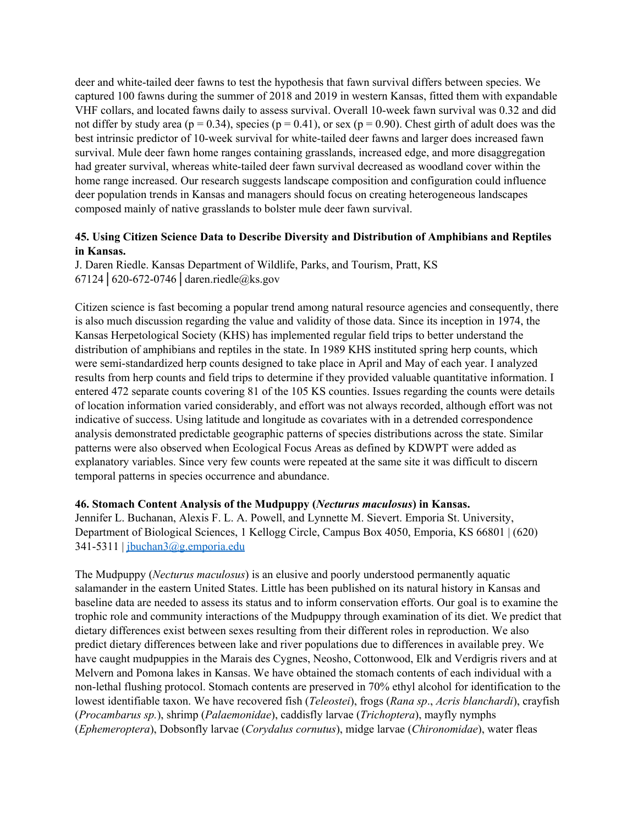deer and white-tailed deer fawns to test the hypothesis that fawn survival differs between species. We captured 100 fawns during the summer of 2018 and 2019 in western Kansas, fitted them with expandable VHF collars, and located fawns daily to assess survival. Overall 10-week fawn survival was 0.32 and did not differ by study area ( $p = 0.34$ ), species ( $p = 0.41$ ), or sex ( $p = 0.90$ ). Chest girth of adult does was the best intrinsic predictor of 10-week survival for white-tailed deer fawns and larger does increased fawn survival. Mule deer fawn home ranges containing grasslands, increased edge, and more disaggregation had greater survival, whereas white-tailed deer fawn survival decreased as woodland cover within the home range increased. Our research suggests landscape composition and configuration could influence deer population trends in Kansas and managers should focus on creating heterogeneous landscapes composed mainly of native grasslands to bolster mule deer fawn survival.

## **45. Using Citizen Science Data to Describe Diversity and Distribution of Amphibians and Reptiles in Kansas.**

J. Daren Riedle. Kansas Department of Wildlife, Parks, and Tourism, Pratt, KS 67124│620-672-0746│daren.riedle@ks.gov

Citizen science is fast becoming a popular trend among natural resource agencies and consequently, there is also much discussion regarding the value and validity of those data. Since its inception in 1974, the Kansas Herpetological Society (KHS) has implemented regular field trips to better understand the distribution of amphibians and reptiles in the state. In 1989 KHS instituted spring herp counts, which were semi-standardized herp counts designed to take place in April and May of each year. I analyzed results from herp counts and field trips to determine if they provided valuable quantitative information. I entered 472 separate counts covering 81 of the 105 KS counties. Issues regarding the counts were details of location information varied considerably, and effort was not always recorded, although effort was not indicative of success. Using latitude and longitude as covariates with in a detrended correspondence analysis demonstrated predictable geographic patterns of species distributions across the state. Similar patterns were also observed when Ecological Focus Areas as defined by KDWPT were added as explanatory variables. Since very few counts were repeated at the same site it was difficult to discern temporal patterns in species occurrence and abundance.

#### **46. Stomach Content Analysis of the Mudpuppy (***Necturus maculosus***) in Kansas.**

Jennifer L. Buchanan, Alexis F. L. A. Powell, and Lynnette M. Sievert. Emporia St. University, Department of Biological Sciences, 1 Kellogg Circle, Campus Box 4050, Emporia, KS 66801 | (620) 341-5311 | [jbuchan3@g.emporia.edu](mailto:jbuchan3@g.emporia.edu)

The Mudpuppy (*Necturus maculosus*) is an elusive and poorly understood permanently aquatic salamander in the eastern United States. Little has been published on its natural history in Kansas and baseline data are needed to assess its status and to inform conservation efforts. Our goal is to examine the trophic role and community interactions of the Mudpuppy through examination of its diet. We predict that dietary differences exist between sexes resulting from their different roles in reproduction. We also predict dietary differences between lake and river populations due to differences in available prey. We have caught mudpuppies in the Marais des Cygnes, Neosho, Cottonwood, Elk and Verdigris rivers and at Melvern and Pomona lakes in Kansas. We have obtained the stomach contents of each individual with a non-lethal flushing protocol. Stomach contents are preserved in 70% ethyl alcohol for identification to the lowest identifiable taxon. We have recovered fish (*Teleostei*), frogs (*Rana sp*., *Acris blanchardi*), crayfish (*Procambarus sp.*), shrimp (*Palaemonidae*), caddisfly larvae (*Trichoptera*), mayfly nymphs (*Ephemeroptera*), Dobsonfly larvae (*Corydalus cornutus*), midge larvae (*Chironomidae*), water fleas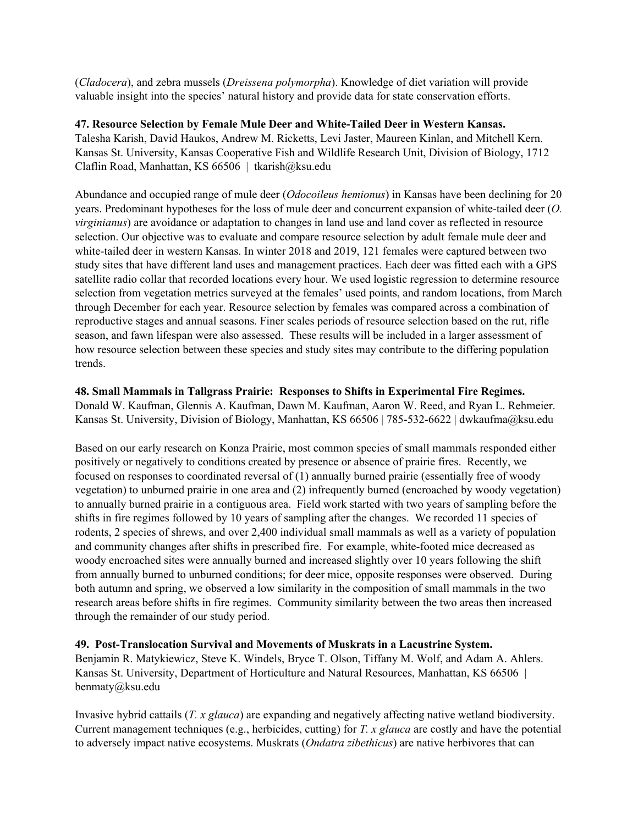(*Cladocera*), and zebra mussels (*Dreissena polymorpha*). Knowledge of diet variation will provide valuable insight into the species' natural history and provide data for state conservation efforts.

#### **47. Resource Selection by Female Mule Deer and White-Tailed Deer in Western Kansas.**

Talesha Karish, David Haukos, Andrew M. Ricketts, Levi Jaster, Maureen Kinlan, and Mitchell Kern. Kansas St. University, Kansas Cooperative Fish and Wildlife Research Unit, Division of Biology, 1712 Claflin Road, Manhattan, KS 66506 | tkarish@ksu.edu

Abundance and occupied range of mule deer (*Odocoileus hemionus*) in Kansas have been declining for 20 years. Predominant hypotheses for the loss of mule deer and concurrent expansion of white-tailed deer (*O. virginianus*) are avoidance or adaptation to changes in land use and land cover as reflected in resource selection. Our objective was to evaluate and compare resource selection by adult female mule deer and white-tailed deer in western Kansas. In winter 2018 and 2019, 121 females were captured between two study sites that have different land uses and management practices. Each deer was fitted each with a GPS satellite radio collar that recorded locations every hour. We used logistic regression to determine resource selection from vegetation metrics surveyed at the females' used points, and random locations, from March through December for each year. Resource selection by females was compared across a combination of reproductive stages and annual seasons. Finer scales periods of resource selection based on the rut, rifle season, and fawn lifespan were also assessed. These results will be included in a larger assessment of how resource selection between these species and study sites may contribute to the differing population trends.

#### **48. Small Mammals in Tallgrass Prairie: Responses to Shifts in Experimental Fire Regimes.**

Donald W. Kaufman, Glennis A. Kaufman, Dawn M. Kaufman, Aaron W. Reed, and Ryan L. Rehmeier. Kansas St. University, Division of Biology, Manhattan, KS 66506 | 785-532-6622 | dwkaufma@ksu.edu

Based on our early research on Konza Prairie, most common species of small mammals responded either positively or negatively to conditions created by presence or absence of prairie fires. Recently, we focused on responses to coordinated reversal of (1) annually burned prairie (essentially free of woody vegetation) to unburned prairie in one area and (2) infrequently burned (encroached by woody vegetation) to annually burned prairie in a contiguous area. Field work started with two years of sampling before the shifts in fire regimes followed by 10 years of sampling after the changes. We recorded 11 species of rodents, 2 species of shrews, and over 2,400 individual small mammals as well as a variety of population and community changes after shifts in prescribed fire. For example, white-footed mice decreased as woody encroached sites were annually burned and increased slightly over 10 years following the shift from annually burned to unburned conditions; for deer mice, opposite responses were observed. During both autumn and spring, we observed a low similarity in the composition of small mammals in the two research areas before shifts in fire regimes. Community similarity between the two areas then increased through the remainder of our study period.

**49. Post-Translocation Survival and Movements of Muskrats in a Lacustrine System.** Benjamin R. Matykiewicz, Steve K. Windels, Bryce T. Olson, Tiffany M. Wolf, and Adam A. Ahlers. Kansas St. University, Department of Horticulture and Natural Resources, Manhattan, KS 66506 | benmaty@ksu.edu

Invasive hybrid cattails (*T. x glauca*) are expanding and negatively affecting native wetland biodiversity. Current management techniques (e.g., herbicides, cutting) for *T. x glauca* are costly and have the potential to adversely impact native ecosystems. Muskrats (*Ondatra zibethicus*) are native herbivores that can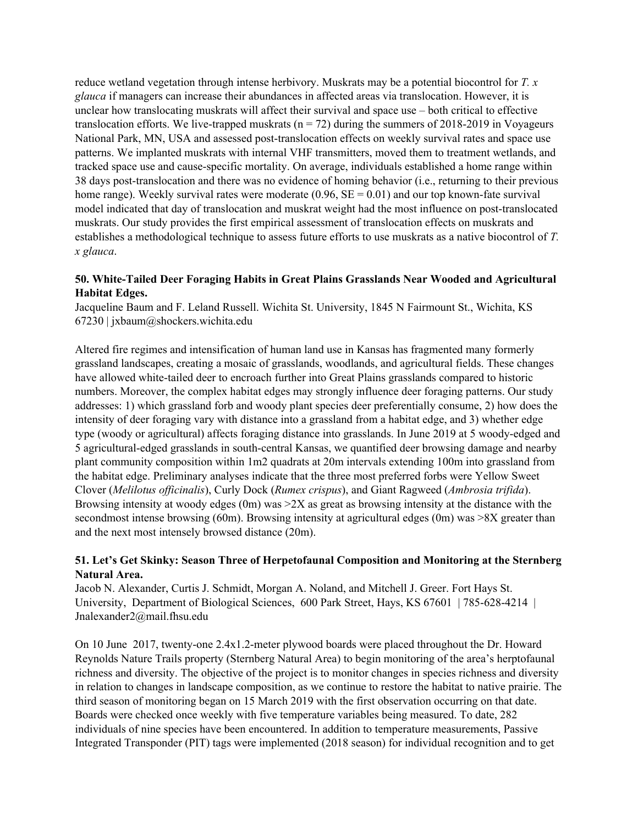reduce wetland vegetation through intense herbivory. Muskrats may be a potential biocontrol for *T. x glauca* if managers can increase their abundances in affected areas via translocation. However, it is unclear how translocating muskrats will affect their survival and space use – both critical to effective translocation efforts. We live-trapped muskrats ( $n = 72$ ) during the summers of 2018-2019 in Voyageurs National Park, MN, USA and assessed post-translocation effects on weekly survival rates and space use patterns. We implanted muskrats with internal VHF transmitters, moved them to treatment wetlands, and tracked space use and cause-specific mortality. On average, individuals established a home range within 38 days post-translocation and there was no evidence of homing behavior (i.e., returning to their previous home range). Weekly survival rates were moderate  $(0.96, SE = 0.01)$  and our top known-fate survival model indicated that day of translocation and muskrat weight had the most influence on post-translocated muskrats. Our study provides the first empirical assessment of translocation effects on muskrats and establishes a methodological technique to assess future efforts to use muskrats as a native biocontrol of *T. x glauca*.

## **50. White-Tailed Deer Foraging Habits in Great Plains Grasslands Near Wooded and Agricultural Habitat Edges.**

Jacqueline Baum and F. Leland Russell. Wichita St. University, 1845 N Fairmount St., Wichita, KS 67230 | jxbaum@shockers.wichita.edu

Altered fire regimes and intensification of human land use in Kansas has fragmented many formerly grassland landscapes, creating a mosaic of grasslands, woodlands, and agricultural fields. These changes have allowed white-tailed deer to encroach further into Great Plains grasslands compared to historic numbers. Moreover, the complex habitat edges may strongly influence deer foraging patterns. Our study addresses: 1) which grassland forb and woody plant species deer preferentially consume, 2) how does the intensity of deer foraging vary with distance into a grassland from a habitat edge, and 3) whether edge type (woody or agricultural) affects foraging distance into grasslands. In June 2019 at 5 woody-edged and 5 agricultural-edged grasslands in south-central Kansas, we quantified deer browsing damage and nearby plant community composition within 1m2 quadrats at 20m intervals extending 100m into grassland from the habitat edge. Preliminary analyses indicate that the three most preferred forbs were Yellow Sweet Clover (*Melilotus of icinalis*), Curly Dock (*Rumex crispus*), and Giant Ragweed (*Ambrosia trifida*). Browsing intensity at woody edges  $(0m)$  was  $\geq 2X$  as great as browsing intensity at the distance with the secondmost intense browsing (60m). Browsing intensity at agricultural edges (0m) was >8X greater than and the next most intensely browsed distance (20m).

## **51. Let's Get Skinky: Season Three of Herpetofaunal Composition and Monitoring at the Sternberg Natural Area.**

Jacob N. Alexander, Curtis J. Schmidt, Morgan A. Noland, and Mitchell J. Greer. Fort Hays St. University, Department of Biological Sciences, 600 Park Street, Hays, KS 67601 | 785-628-4214 | Jnalexander2@mail.fhsu.edu

On 10 June 2017, twenty-one 2.4x1.2-meter plywood boards were placed throughout the Dr. Howard Reynolds Nature Trails property (Sternberg Natural Area) to begin monitoring of the area's herptofaunal richness and diversity. The objective of the project is to monitor changes in species richness and diversity in relation to changes in landscape composition, as we continue to restore the habitat to native prairie. The third season of monitoring began on 15 March 2019 with the first observation occurring on that date. Boards were checked once weekly with five temperature variables being measured. To date, 282 individuals of nine species have been encountered. In addition to temperature measurements, Passive Integrated Transponder (PIT) tags were implemented (2018 season) for individual recognition and to get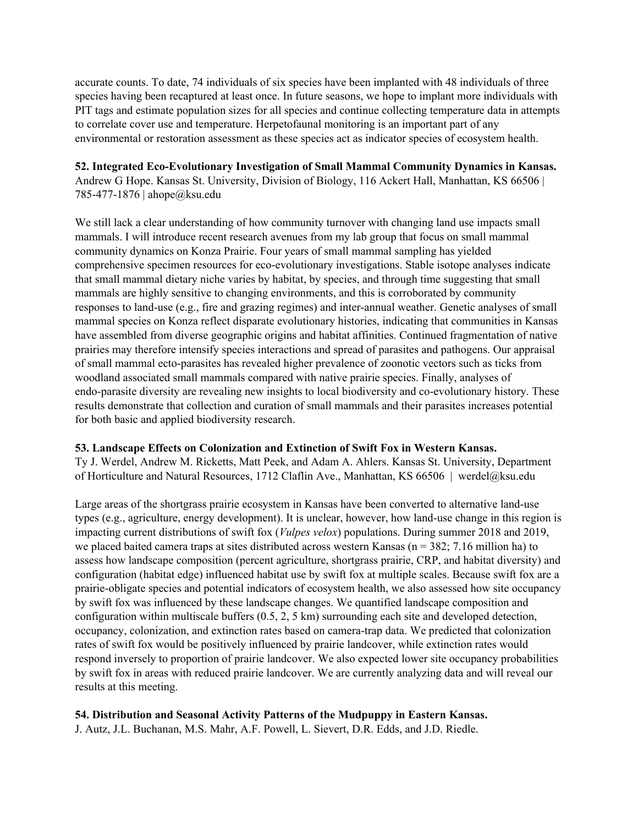accurate counts. To date, 74 individuals of six species have been implanted with 48 individuals of three species having been recaptured at least once. In future seasons, we hope to implant more individuals with PIT tags and estimate population sizes for all species and continue collecting temperature data in attempts to correlate cover use and temperature. Herpetofaunal monitoring is an important part of any environmental or restoration assessment as these species act as indicator species of ecosystem health.

**52. Integrated Eco-Evolutionary Investigation of Small Mammal Community Dynamics in Kansas.** Andrew G Hope. Kansas St. University, Division of Biology, 116 Ackert Hall, Manhattan, KS 66506 | 785-477-1876 | ahope@ksu.edu

We still lack a clear understanding of how community turnover with changing land use impacts small mammals. I will introduce recent research avenues from my lab group that focus on small mammal community dynamics on Konza Prairie. Four years of small mammal sampling has yielded comprehensive specimen resources for eco-evolutionary investigations. Stable isotope analyses indicate that small mammal dietary niche varies by habitat, by species, and through time suggesting that small mammals are highly sensitive to changing environments, and this is corroborated by community responses to land-use (e.g., fire and grazing regimes) and inter-annual weather. Genetic analyses of small mammal species on Konza reflect disparate evolutionary histories, indicating that communities in Kansas have assembled from diverse geographic origins and habitat affinities. Continued fragmentation of native prairies may therefore intensify species interactions and spread of parasites and pathogens. Our appraisal of small mammal ecto-parasites has revealed higher prevalence of zoonotic vectors such as ticks from woodland associated small mammals compared with native prairie species. Finally, analyses of endo-parasite diversity are revealing new insights to local biodiversity and co-evolutionary history. These results demonstrate that collection and curation of small mammals and their parasites increases potential for both basic and applied biodiversity research.

#### **53. Landscape Effects on Colonization and Extinction of Swift Fox in Western Kansas.**

Ty J. Werdel, Andrew M. Ricketts, Matt Peek, and Adam A. Ahlers. Kansas St. University, Department of Horticulture and Natural Resources, 1712 Claflin Ave., Manhattan, KS 66506 | werdel@ksu.edu

Large areas of the shortgrass prairie ecosystem in Kansas have been converted to alternative land-use types (e.g., agriculture, energy development). It is unclear, however, how land-use change in this region is impacting current distributions of swift fox (*Vulpes velox*) populations. During summer 2018 and 2019, we placed baited camera traps at sites distributed across western Kansas ( $n = 382$ ; 7.16 million ha) to assess how landscape composition (percent agriculture, shortgrass prairie, CRP, and habitat diversity) and configuration (habitat edge) influenced habitat use by swift fox at multiple scales. Because swift fox are a prairie-obligate species and potential indicators of ecosystem health, we also assessed how site occupancy by swift fox was influenced by these landscape changes. We quantified landscape composition and configuration within multiscale buffers (0.5, 2, 5 km) surrounding each site and developed detection, occupancy, colonization, and extinction rates based on camera-trap data. We predicted that colonization rates of swift fox would be positively influenced by prairie landcover, while extinction rates would respond inversely to proportion of prairie landcover. We also expected lower site occupancy probabilities by swift fox in areas with reduced prairie landcover. We are currently analyzing data and will reveal our results at this meeting.

#### **54. Distribution and Seasonal Activity Patterns of the Mudpuppy in Eastern Kansas.**

J. Autz, J.L. Buchanan, M.S. Mahr, A.F. Powell, L. Sievert, D.R. Edds, and J.D. Riedle.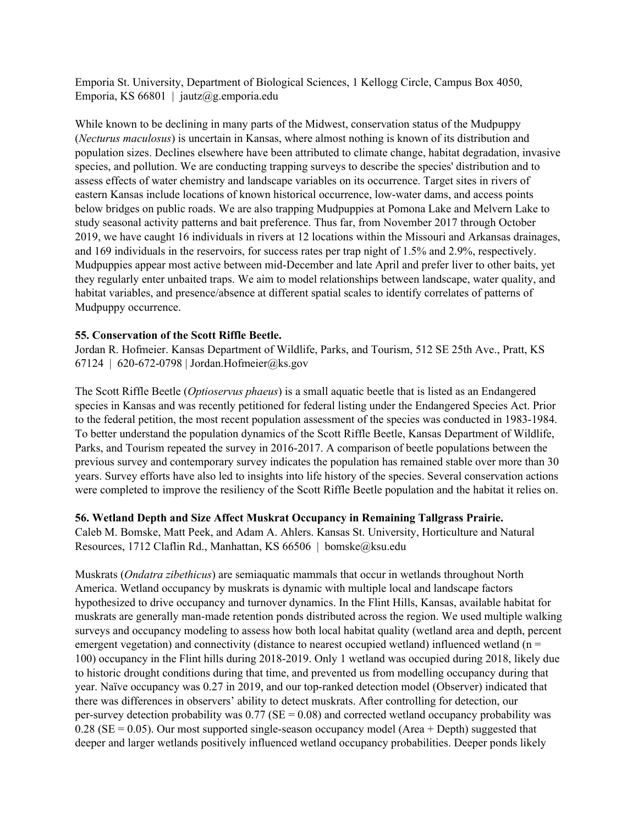Emporia St. University, Department of Biological Sciences, 1 Kellogg Circle, Campus Box 4050, Emporia, KS 66801 | jautz@g.emporia.edu

While known to be declining in many parts of the Midwest, conservation status of the Mudpuppy (*Necturus maculosus*) is uncertain in Kansas, where almost nothing is known of its distribution and population sizes. Declines elsewhere have been attributed to climate change, habitat degradation, invasive species, and pollution. We are conducting trapping surveys to describe the species' distribution and to assess effects of water chemistry and landscape variables on its occurrence. Target sites in rivers of eastern Kansas include locations of known historical occurrence, low-water dams, and access points below bridges on public roads. We are also trapping Mudpuppies at Pomona Lake and Melvern Lake to study seasonal activity patterns and bait preference. Thus far, from November 2017 through October 2019, we have caught 16 individuals in rivers at 12 locations within the Missouri and Arkansas drainages, and 169 individuals in the reservoirs, for success rates per trap night of 1.5% and 2.9%, respectively. Mudpuppies appear most active between mid-December and late April and prefer liver to other baits, yet they regularly enter unbaited traps. We aim to model relationships between landscape, water quality, and habitat variables, and presence/absence at different spatial scales to identify correlates of patterns of Mudpuppy occurrence.

#### **55. Conservation of the Scott Riffle Beetle.**

Jordan R. Hofmeier. Kansas Department of Wildlife, Parks, and Tourism, 512 SE 25th Ave., Pratt, KS 67124 | 620-672-0798 | Jordan.Hofmeier@ks.gov

The Scott Riffle Beetle (*Optioservus phaeus*) is a small aquatic beetle that is listed as an Endangered species in Kansas and was recently petitioned for federal listing under the Endangered Species Act. Prior to the federal petition, the most recent population assessment of the species was conducted in 1983-1984. To better understand the population dynamics of the Scott Riffle Beetle, Kansas Department of Wildlife, Parks, and Tourism repeated the survey in 2016-2017. A comparison of beetle populations between the previous survey and contemporary survey indicates the population has remained stable over more than 30 years. Survey efforts have also led to insights into life history of the species. Several conservation actions were completed to improve the resiliency of the Scott Riffle Beetle population and the habitat it relies on.

#### **56. Wetland Depth and Size Affect Muskrat Occupancy in Remaining Tallgrass Prairie.**

Caleb M. Bomske, Matt Peek, and Adam A. Ahlers. Kansas St. University, Horticulture and Natural Resources, 1712 Claflin Rd., Manhattan, KS 66506 | bomske@ksu.edu

Muskrats (*Ondatra zibethicus*) are semiaquatic mammals that occur in wetlands throughout North America. Wetland occupancy by muskrats is dynamic with multiple local and landscape factors hypothesized to drive occupancy and turnover dynamics. In the Flint Hills, Kansas, available habitat for muskrats are generally man-made retention ponds distributed across the region. We used multiple walking surveys and occupancy modeling to assess how both local habitat quality (wetland area and depth, percent emergent vegetation) and connectivity (distance to nearest occupied wetland) influenced wetland ( $n =$ 100) occupancy in the Flint hills during 2018-2019. Only 1 wetland was occupied during 2018, likely due to historic drought conditions during that time, and prevented us from modelling occupancy during that year. Naïve occupancy was 0.27 in 2019, and our top-ranked detection model (Observer) indicated that there was differences in observers' ability to detect muskrats. After controlling for detection, our per-survey detection probability was  $0.77$  (SE =  $0.08$ ) and corrected wetland occupancy probability was  $0.28$  (SE = 0.05). Our most supported single-season occupancy model (Area + Depth) suggested that deeper and larger wetlands positively influenced wetland occupancy probabilities. Deeper ponds likely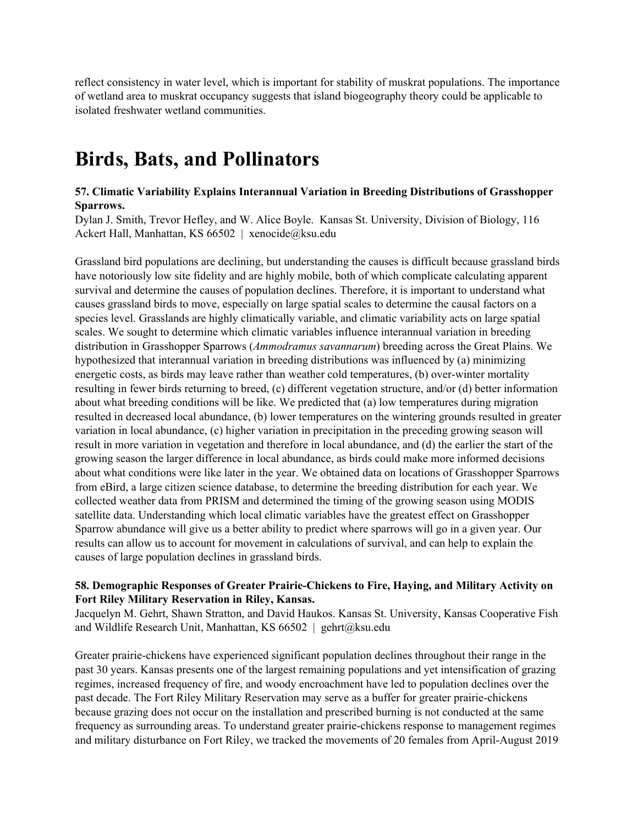reflect consistency in water level, which is important for stability of muskrat populations. The importance of wetland area to muskrat occupancy suggests that island biogeography theory could be applicable to isolated freshwater wetland communities.

## **Birds, Bats, and Pollinators**

## **57. Climatic Variability Explains Interannual Variation in Breeding Distributions of Grasshopper Sparrows.**

Dylan J. Smith, Trevor Hefley, and W. Alice Boyle. Kansas St. University, Division of Biology, 116 Ackert Hall, Manhattan, KS 66502 | xenocide@ksu.edu

Grassland bird populations are declining, but understanding the causes is difficult because grassland birds have notoriously low site fidelity and are highly mobile, both of which complicate calculating apparent survival and determine the causes of population declines. Therefore, it is important to understand what causes grassland birds to move, especially on large spatial scales to determine the causal factors on a species level. Grasslands are highly climatically variable, and climatic variability acts on large spatial scales. We sought to determine which climatic variables influence interannual variation in breeding distribution in Grasshopper Sparrows (*Ammodramus savannarum*) breeding across the Great Plains. We hypothesized that interannual variation in breeding distributions was influenced by (a) minimizing energetic costs, as birds may leave rather than weather cold temperatures, (b) over-winter mortality resulting in fewer birds returning to breed, (c) different vegetation structure, and/or (d) better information about what breeding conditions will be like. We predicted that (a) low temperatures during migration resulted in decreased local abundance, (b) lower temperatures on the wintering grounds resulted in greater variation in local abundance, (c) higher variation in precipitation in the preceding growing season will result in more variation in vegetation and therefore in local abundance, and (d) the earlier the start of the growing season the larger difference in local abundance, as birds could make more informed decisions about what conditions were like later in the year. We obtained data on locations of Grasshopper Sparrows from eBird, a large citizen science database, to determine the breeding distribution for each year. We collected weather data from PRISM and determined the timing of the growing season using MODIS satellite data. Understanding which local climatic variables have the greatest effect on Grasshopper Sparrow abundance will give us a better ability to predict where sparrows will go in a given year. Our results can allow us to account for movement in calculations of survival, and can help to explain the causes of large population declines in grassland birds.

## **58. Demographic Responses of Greater Prairie-Chickens to Fire, Haying, and Military Activity on Fort Riley Military Reservation in Riley, Kansas.**

Jacquelyn M. Gehrt, Shawn Stratton, and David Haukos. Kansas St. University, Kansas Cooperative Fish and Wildlife Research Unit, Manhattan, KS 66502 | gehrt@ksu.edu

Greater prairie-chickens have experienced significant population declines throughout their range in the past 30 years. Kansas presents one of the largest remaining populations and yet intensification of grazing regimes, increased frequency of fire, and woody encroachment have led to population declines over the past decade. The Fort Riley Military Reservation may serve as a buffer for greater prairie-chickens because grazing does not occur on the installation and prescribed burning is not conducted at the same frequency as surrounding areas. To understand greater prairie-chickens response to management regimes and military disturbance on Fort Riley, we tracked the movements of 20 females from April-August 2019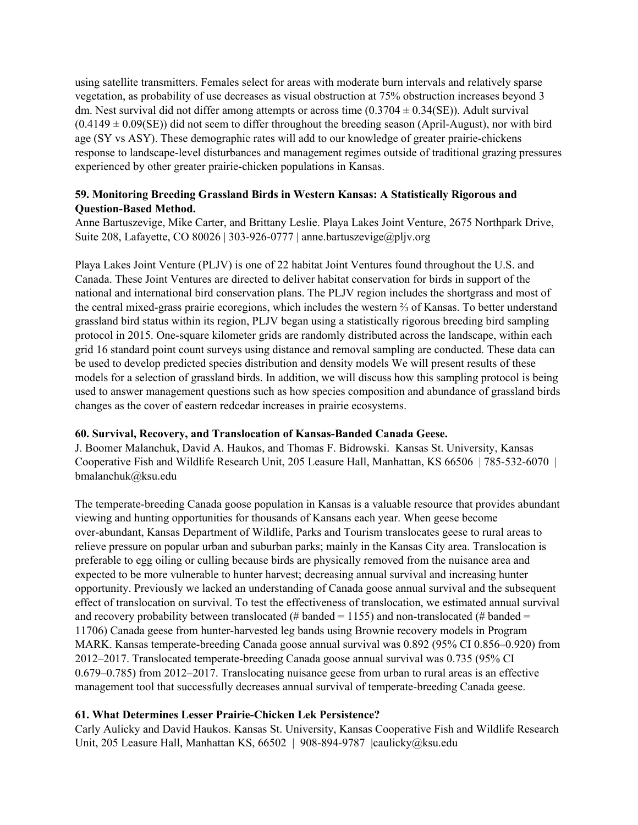using satellite transmitters. Females select for areas with moderate burn intervals and relatively sparse vegetation, as probability of use decreases as visual obstruction at 75% obstruction increases beyond 3 dm. Nest survival did not differ among attempts or across time  $(0.3704 \pm 0.34$ (SE)). Adult survival  $(0.4149 \pm 0.09$ (SE)) did not seem to differ throughout the breeding season (April-August), nor with bird age (SY vs ASY). These demographic rates will add to our knowledge of greater prairie-chickens response to landscape-level disturbances and management regimes outside of traditional grazing pressures experienced by other greater prairie-chicken populations in Kansas.

## **59. Monitoring Breeding Grassland Birds in Western Kansas: A Statistically Rigorous and Question-Based Method.**

Anne Bartuszevige, Mike Carter, and Brittany Leslie. Playa Lakes Joint Venture, 2675 Northpark Drive, Suite 208, Lafayette, CO 80026 | 303-926-0777 | anne.bartuszevige@pljv.org

Playa Lakes Joint Venture (PLJV) is one of 22 habitat Joint Ventures found throughout the U.S. and Canada. These Joint Ventures are directed to deliver habitat conservation for birds in support of the national and international bird conservation plans. The PLJV region includes the shortgrass and most of the central mixed-grass prairie ecoregions, which includes the western ⅔ of Kansas. To better understand grassland bird status within its region, PLJV began using a statistically rigorous breeding bird sampling protocol in 2015. One-square kilometer grids are randomly distributed across the landscape, within each grid 16 standard point count surveys using distance and removal sampling are conducted. These data can be used to develop predicted species distribution and density models We will present results of these models for a selection of grassland birds. In addition, we will discuss how this sampling protocol is being used to answer management questions such as how species composition and abundance of grassland birds changes as the cover of eastern redcedar increases in prairie ecosystems.

#### **60. Survival, Recovery, and Translocation of Kansas-Banded Canada Geese.**

J. Boomer Malanchuk, David A. Haukos, and Thomas F. Bidrowski. Kansas St. University, Kansas Cooperative Fish and Wildlife Research Unit, 205 Leasure Hall, Manhattan, KS 66506 | 785-532-6070 | bmalanchuk@ksu.edu

The temperate-breeding Canada goose population in Kansas is a valuable resource that provides abundant viewing and hunting opportunities for thousands of Kansans each year. When geese become over-abundant, Kansas Department of Wildlife, Parks and Tourism translocates geese to rural areas to relieve pressure on popular urban and suburban parks; mainly in the Kansas City area. Translocation is preferable to egg oiling or culling because birds are physically removed from the nuisance area and expected to be more vulnerable to hunter harvest; decreasing annual survival and increasing hunter opportunity. Previously we lacked an understanding of Canada goose annual survival and the subsequent effect of translocation on survival. To test the effectiveness of translocation, we estimated annual survival and recovery probability between translocated (# banded = 1155) and non-translocated (# banded = 11706) Canada geese from hunter-harvested leg bands using Brownie recovery models in Program MARK. Kansas temperate-breeding Canada goose annual survival was 0.892 (95% CI 0.856–0.920) from 2012–2017. Translocated temperate-breeding Canada goose annual survival was 0.735 (95% CI 0.679–0.785) from 2012–2017. Translocating nuisance geese from urban to rural areas is an effective management tool that successfully decreases annual survival of temperate-breeding Canada geese.

## **61. What Determines Lesser Prairie-Chicken Lek Persistence?**

Carly Aulicky and David Haukos. Kansas St. University, Kansas Cooperative Fish and Wildlife Research Unit, 205 Leasure Hall, Manhattan KS, 66502 | 908-894-9787 |caulicky@ksu.edu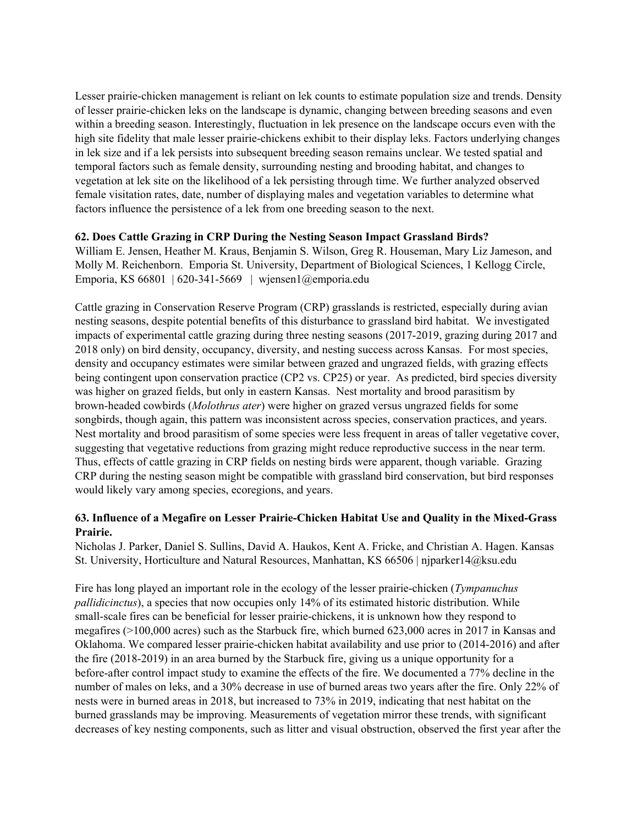Lesser prairie-chicken management is reliant on lek counts to estimate population size and trends. Density of lesser prairie-chicken leks on the landscape is dynamic, changing between breeding seasons and even within a breeding season. Interestingly, fluctuation in lek presence on the landscape occurs even with the high site fidelity that male lesser prairie-chickens exhibit to their display leks. Factors underlying changes in lek size and if a lek persists into subsequent breeding season remains unclear. We tested spatial and temporal factors such as female density, surrounding nesting and brooding habitat, and changes to vegetation at lek site on the likelihood of a lek persisting through time. We further analyzed observed female visitation rates, date, number of displaying males and vegetation variables to determine what factors influence the persistence of a lek from one breeding season to the next.

#### **62. Does Cattle Grazing in CRP During the Nesting Season Impact Grassland Birds?**

William E. Jensen, Heather M. Kraus, Benjamin S. Wilson, Greg R. Houseman, Mary Liz Jameson, and Molly M. Reichenborn. Emporia St. University, Department of Biological Sciences, 1 Kellogg Circle, Emporia, KS 66801 | 620-341-5669 | wjensen1@emporia.edu

Cattle grazing in Conservation Reserve Program (CRP) grasslands is restricted, especially during avian nesting seasons, despite potential benefits of this disturbance to grassland bird habitat. We investigated impacts of experimental cattle grazing during three nesting seasons (2017-2019, grazing during 2017 and 2018 only) on bird density, occupancy, diversity, and nesting success across Kansas. For most species, density and occupancy estimates were similar between grazed and ungrazed fields, with grazing effects being contingent upon conservation practice (CP2 vs. CP25) or year. As predicted, bird species diversity was higher on grazed fields, but only in eastern Kansas. Nest mortality and brood parasitism by brown-headed cowbirds (*Molothrus ater*) were higher on grazed versus ungrazed fields for some songbirds, though again, this pattern was inconsistent across species, conservation practices, and years. Nest mortality and brood parasitism of some species were less frequent in areas of taller vegetative cover, suggesting that vegetative reductions from grazing might reduce reproductive success in the near term. Thus, effects of cattle grazing in CRP fields on nesting birds were apparent, though variable. Grazing CRP during the nesting season might be compatible with grassland bird conservation, but bird responses would likely vary among species, ecoregions, and years.

## **63. Influence of a Megafire on Lesser Prairie-Chicken Habitat Use and Quality in the Mixed-Grass Prairie.**

Nicholas J. Parker, Daniel S. Sullins, David A. Haukos, Kent A. Fricke, and Christian A. Hagen. Kansas St. University, Horticulture and Natural Resources, Manhattan, KS 66506 | njparker14@ksu.edu

Fire has long played an important role in the ecology of the lesser prairie-chicken (*Tympanuchus pallidicinctus*), a species that now occupies only 14% of its estimated historic distribution. While small-scale fires can be beneficial for lesser prairie-chickens, it is unknown how they respond to megafires (>100,000 acres) such as the Starbuck fire, which burned 623,000 acres in 2017 in Kansas and Oklahoma. We compared lesser prairie-chicken habitat availability and use prior to (2014-2016) and after the fire (2018-2019) in an area burned by the Starbuck fire, giving us a unique opportunity for a before-after control impact study to examine the effects of the fire. We documented a 77% decline in the number of males on leks, and a 30% decrease in use of burned areas two years after the fire. Only 22% of nests were in burned areas in 2018, but increased to 73% in 2019, indicating that nest habitat on the burned grasslands may be improving. Measurements of vegetation mirror these trends, with significant decreases of key nesting components, such as litter and visual obstruction, observed the first year after the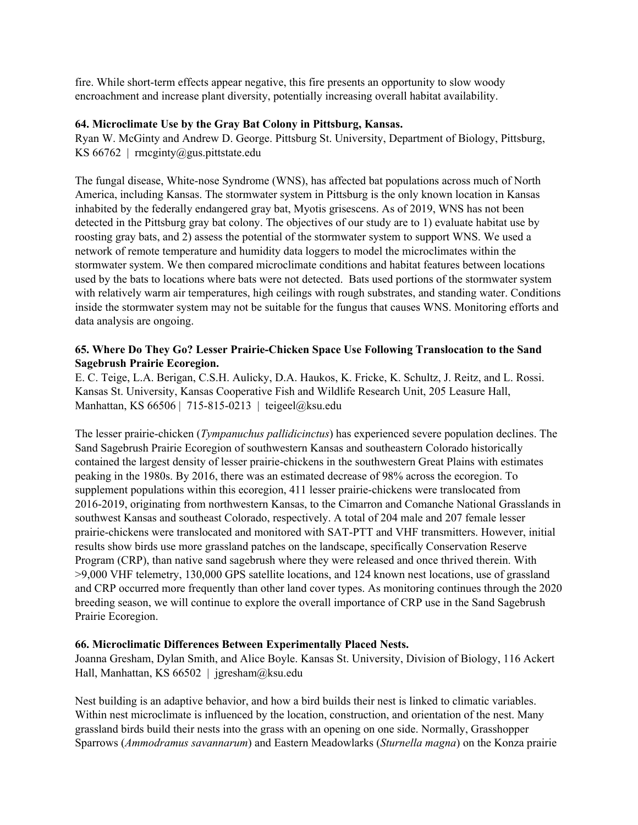fire. While short-term effects appear negative, this fire presents an opportunity to slow woody encroachment and increase plant diversity, potentially increasing overall habitat availability.

#### **64. Microclimate Use by the Gray Bat Colony in Pittsburg, Kansas.**

Ryan W. McGinty and Andrew D. George. Pittsburg St. University, Department of Biology, Pittsburg, KS 66762 | rmcginty@gus.pittstate.edu

The fungal disease, White-nose Syndrome (WNS), has affected bat populations across much of North America, including Kansas. The stormwater system in Pittsburg is the only known location in Kansas inhabited by the federally endangered gray bat, Myotis grisescens. As of 2019, WNS has not been detected in the Pittsburg gray bat colony. The objectives of our study are to 1) evaluate habitat use by roosting gray bats, and 2) assess the potential of the stormwater system to support WNS. We used a network of remote temperature and humidity data loggers to model the microclimates within the stormwater system. We then compared microclimate conditions and habitat features between locations used by the bats to locations where bats were not detected. Bats used portions of the stormwater system with relatively warm air temperatures, high ceilings with rough substrates, and standing water. Conditions inside the stormwater system may not be suitable for the fungus that causes WNS. Monitoring efforts and data analysis are ongoing.

## **65. Where Do They Go? Lesser Prairie-Chicken Space Use Following Translocation to the Sand Sagebrush Prairie Ecoregion.**

E. C. Teige, L.A. Berigan, C.S.H. Aulicky, D.A. Haukos, K. Fricke, K. Schultz, J. Reitz, and L. Rossi. Kansas St. University, Kansas Cooperative Fish and Wildlife Research Unit, 205 Leasure Hall, Manhattan, KS 66506 | 715-815-0213 | teigeel@ksu.edu

The lesser prairie-chicken (*Tympanuchus pallidicinctus*) has experienced severe population declines. The Sand Sagebrush Prairie Ecoregion of southwestern Kansas and southeastern Colorado historically contained the largest density of lesser prairie-chickens in the southwestern Great Plains with estimates peaking in the 1980s. By 2016, there was an estimated decrease of 98% across the ecoregion. To supplement populations within this ecoregion, 411 lesser prairie-chickens were translocated from 2016-2019, originating from northwestern Kansas, to the Cimarron and Comanche National Grasslands in southwest Kansas and southeast Colorado, respectively. A total of 204 male and 207 female lesser prairie-chickens were translocated and monitored with SAT-PTT and VHF transmitters. However, initial results show birds use more grassland patches on the landscape, specifically Conservation Reserve Program (CRP), than native sand sagebrush where they were released and once thrived therein. With >9,000 VHF telemetry, 130,000 GPS satellite locations, and 124 known nest locations, use of grassland and CRP occurred more frequently than other land cover types. As monitoring continues through the 2020 breeding season, we will continue to explore the overall importance of CRP use in the Sand Sagebrush Prairie Ecoregion.

## **66. Microclimatic Differences Between Experimentally Placed Nests.**

Joanna Gresham, Dylan Smith, and Alice Boyle. Kansas St. University, Division of Biology, 116 Ackert Hall, Manhattan, KS 66502 | jgresham@ksu.edu

Nest building is an adaptive behavior, and how a bird builds their nest is linked to climatic variables. Within nest microclimate is influenced by the location, construction, and orientation of the nest. Many grassland birds build their nests into the grass with an opening on one side. Normally, Grasshopper Sparrows (*Ammodramus savannarum*) and Eastern Meadowlarks (*Sturnella magna*) on the Konza prairie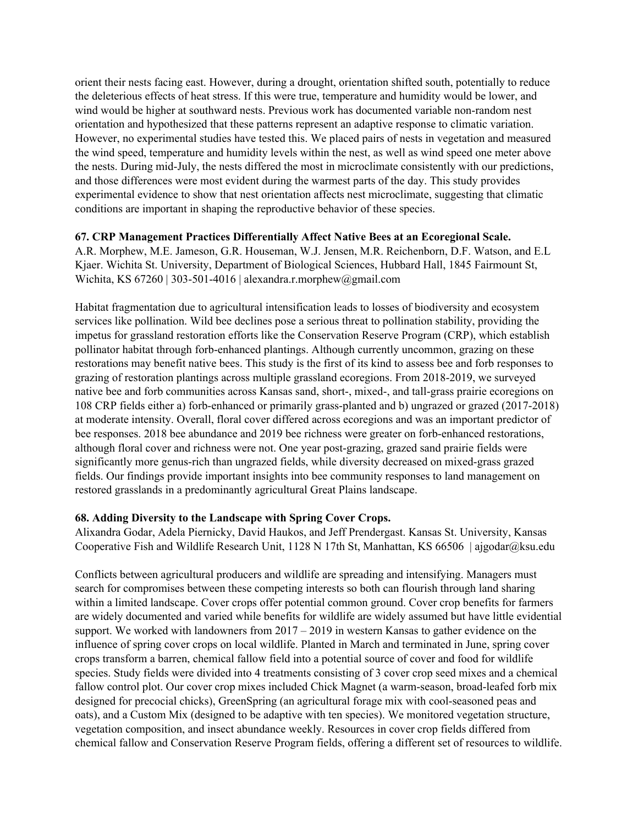orient their nests facing east. However, during a drought, orientation shifted south, potentially to reduce the deleterious effects of heat stress. If this were true, temperature and humidity would be lower, and wind would be higher at southward nests. Previous work has documented variable non-random nest orientation and hypothesized that these patterns represent an adaptive response to climatic variation. However, no experimental studies have tested this. We placed pairs of nests in vegetation and measured the wind speed, temperature and humidity levels within the nest, as well as wind speed one meter above the nests. During mid-July, the nests differed the most in microclimate consistently with our predictions, and those differences were most evident during the warmest parts of the day. This study provides experimental evidence to show that nest orientation affects nest microclimate, suggesting that climatic conditions are important in shaping the reproductive behavior of these species.

#### **67. CRP Management Practices Differentially Affect Native Bees at an Ecoregional Scale.**

A.R. Morphew, M.E. Jameson, G.R. Houseman, W.J. Jensen, M.R. Reichenborn, D.F. Watson, and E.L Kjaer. Wichita St. University, Department of Biological Sciences, Hubbard Hall, 1845 Fairmount St, Wichita, KS 67260 | 303-501-4016 | alexandra.r.morphew@gmail.com

Habitat fragmentation due to agricultural intensification leads to losses of biodiversity and ecosystem services like pollination. Wild bee declines pose a serious threat to pollination stability, providing the impetus for grassland restoration efforts like the Conservation Reserve Program (CRP), which establish pollinator habitat through forb-enhanced plantings. Although currently uncommon, grazing on these restorations may benefit native bees. This study is the first of its kind to assess bee and forb responses to grazing of restoration plantings across multiple grassland ecoregions. From 2018-2019, we surveyed native bee and forb communities across Kansas sand, short-, mixed-, and tall-grass prairie ecoregions on 108 CRP fields either a) forb-enhanced or primarily grass-planted and b) ungrazed or grazed (2017-2018) at moderate intensity. Overall, floral cover differed across ecoregions and was an important predictor of bee responses. 2018 bee abundance and 2019 bee richness were greater on forb-enhanced restorations, although floral cover and richness were not. One year post-grazing, grazed sand prairie fields were significantly more genus-rich than ungrazed fields, while diversity decreased on mixed-grass grazed fields. Our findings provide important insights into bee community responses to land management on restored grasslands in a predominantly agricultural Great Plains landscape.

#### **68. Adding Diversity to the Landscape with Spring Cover Crops.**

Alixandra Godar, Adela Piernicky, David Haukos, and Jeff Prendergast. Kansas St. University, Kansas Cooperative Fish and Wildlife Research Unit, 1128 N 17th St, Manhattan, KS 66506 | ajgodar@ksu.edu

Conflicts between agricultural producers and wildlife are spreading and intensifying. Managers must search for compromises between these competing interests so both can flourish through land sharing within a limited landscape. Cover crops offer potential common ground. Cover crop benefits for farmers are widely documented and varied while benefits for wildlife are widely assumed but have little evidential support. We worked with landowners from 2017 – 2019 in western Kansas to gather evidence on the influence of spring cover crops on local wildlife. Planted in March and terminated in June, spring cover crops transform a barren, chemical fallow field into a potential source of cover and food for wildlife species. Study fields were divided into 4 treatments consisting of 3 cover crop seed mixes and a chemical fallow control plot. Our cover crop mixes included Chick Magnet (a warm-season, broad-leafed forb mix designed for precocial chicks), GreenSpring (an agricultural forage mix with cool-seasoned peas and oats), and a Custom Mix (designed to be adaptive with ten species). We monitored vegetation structure, vegetation composition, and insect abundance weekly. Resources in cover crop fields differed from chemical fallow and Conservation Reserve Program fields, offering a different set of resources to wildlife.